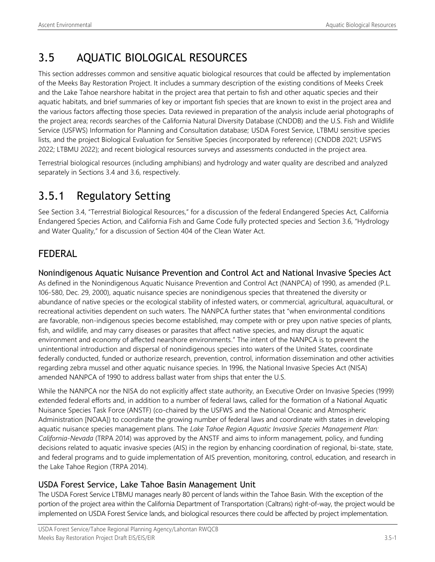# 3.5 AQUATIC BIOLOGICAL RESOURCES

This section addresses common and sensitive aquatic biological resources that could be affected by implementation of the Meeks Bay Restoration Project. It includes a summary description of the existing conditions of Meeks Creek and the Lake Tahoe nearshore habitat in the project area that pertain to fish and other aquatic species and their aquatic habitats, and brief summaries of key or important fish species that are known to exist in the project area and the various factors affecting those species. Data reviewed in preparation of the analysis include aerial photographs of the project area; records searches of the California Natural Diversity Database (CNDDB) and the U.S. Fish and Wildlife Service (USFWS) Information for Planning and Consultation database; USDA Forest Service, LTBMU sensitive species lists, and the project Biological Evaluation for Sensitive Species (incorporated by reference) (CNDDB 2021; USFWS 2022; LTBMU 2022); and recent biological resources surveys and assessments conducted in the project area.

Terrestrial biological resources (including amphibians) and hydrology and water quality are described and analyzed separately in Sections 3.4 and 3.6, respectively.

# 3.5.1 Regulatory Setting

See Section 3.4, "Terrestrial Biological Resources," for a discussion of the federal Endangered Species Act, California Endangered Species Action, and California Fish and Game Code fully protected species and Section 3.6, "Hydrology and Water Quality," for a discussion of Section 404 of the Clean Water Act.

## FEDERAL

Nonindigenous Aquatic Nuisance Prevention and Control Act and National Invasive Species Act As defined in the Nonindigenous Aquatic Nuisance Prevention and Control Act (NANPCA) of 1990, as amended (P.L. 106-580, Dec. 29, 2000), aquatic nuisance species are nonindigenous species that threatened the diversity or abundance of native species or the ecological stability of infested waters, or commercial, agricultural, aquacultural, or recreational activities dependent on such waters. The NANPCA further states that "when environmental conditions are favorable, non-indigenous species become established, may compete with or prey upon native species of plants, fish, and wildlife, and may carry diseases or parasites that affect native species, and may disrupt the aquatic environment and economy of affected nearshore environments." The intent of the NANPCA is to prevent the unintentional introduction and dispersal of nonindigenous species into waters of the United States, coordinate federally conducted, funded or authorize research, prevention, control, information dissemination and other activities regarding zebra mussel and other aquatic nuisance species. In 1996, the National Invasive Species Act (NISA) amended NANPCA of 1990 to address ballast water from ships that enter the U.S.

While the NANPCA nor the NISA do not explicitly affect state authority, an Executive Order on Invasive Species (1999) extended federal efforts and, in addition to a number of federal laws, called for the formation of a National Aquatic Nuisance Species Task Force (ANSTF) (co-chaired by the USFWS and the National Oceanic and Atmospheric Administration [NOAA]) to coordinate the growing number of federal laws and coordinate with states in developing aquatic nuisance species management plans. The *Lake Tahoe Region Aquatic Invasive Species Management Plan: California-Nevada* (TRPA 2014) was approved by the ANSTF and aims to inform management, policy, and funding decisions related to aquatic invasive species (AIS) in the region by enhancing coordination of regional, bi-state, state, and federal programs and to guide implementation of AIS prevention, monitoring, control, education, and research in the Lake Tahoe Region (TRPA 2014).

## USDA Forest Service, Lake Tahoe Basin Management Unit

The USDA Forest Service LTBMU manages nearly 80 percent of lands within the Tahoe Basin. With the exception of the portion of the project area within the California Department of Transportation (Caltrans) right-of-way, the project would be implemented on USDA Forest Service lands, and biological resources there could be affected by project implementation.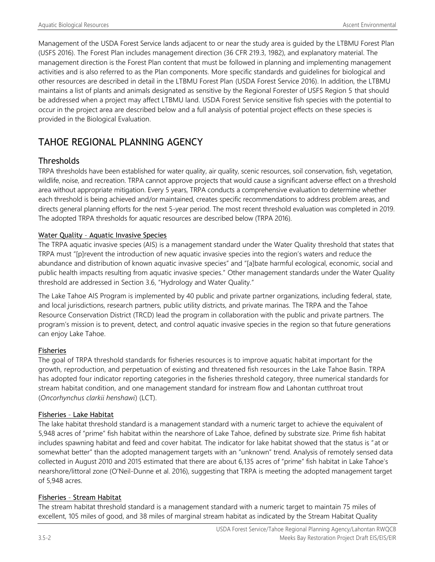Management of the USDA Forest Service lands adjacent to or near the study area is guided by the LTBMU Forest Plan (USFS 2016). The Forest Plan includes management direction (36 CFR 219.3, 1982), and explanatory material. The management direction is the Forest Plan content that must be followed in planning and implementing management activities and is also referred to as the Plan components. More specific standards and guidelines for biological and other resources are described in detail in the LTBMU Forest Plan (USDA Forest Service 2016). In addition, the LTBMU maintains a list of plants and animals designated as sensitive by the Regional Forester of USFS Region 5 that should be addressed when a project may affect LTBMU land. USDA Forest Service sensitive fish species with the potential to occur in the project area are described below and a full analysis of potential project effects on these species is provided in the Biological Evaluation.

## TAHOE REGIONAL PLANNING AGENCY

## **Thresholds**

TRPA thresholds have been established for water quality, air quality, scenic resources, soil conservation, fish, vegetation, wildlife, noise, and recreation. TRPA cannot approve projects that would cause a significant adverse effect on a threshold area without appropriate mitigation. Every 5 years, TRPA conducts a comprehensive evaluation to determine whether each threshold is being achieved and/or maintained, creates specific recommendations to address problem areas, and directs general planning efforts for the next 5-year period. The most recent threshold evaluation was completed in 2019. The adopted TRPA thresholds for aquatic resources are described below (TRPA 2016).

#### Water Quality – Aquatic Invasive Species

The TRPA aquatic invasive species (AIS) is a management standard under the Water Quality threshold that states that TRPA must "[p]revent the introduction of new aquatic invasive species into the region's waters and reduce the abundance and distribution of known aquatic invasive species" and "[a]bate harmful ecological, economic, social and public health impacts resulting from aquatic invasive species." Other management standards under the Water Quality threshold are addressed in Section 3.6, "Hydrology and Water Quality."

The Lake Tahoe AIS Program is implemented by 40 public and private partner organizations, including federal, state, and local jurisdictions, research partners, public utility districts, and private marinas. The TRPA and the Tahoe Resource Conservation District (TRCD) lead the program in collaboration with the public and private partners. The program's mission is to prevent, detect, and control aquatic invasive species in the region so that future generations can enjoy Lake Tahoe.

#### Fisheries

The goal of TRPA threshold standards for fisheries resources is to improve aquatic habitat important for the growth, reproduction, and perpetuation of existing and threatened fish resources in the Lake Tahoe Basin. TRPA has adopted four indicator reporting categories in the fisheries threshold category, three numerical standards for stream habitat condition, and one management standard for instream flow and Lahontan cutthroat trout (*Oncorhynchus clarkii henshawi*) (LCT).

#### Fisheries – Lake Habitat

The lake habitat threshold standard is a management standard with a numeric target to achieve the equivalent of 5,948 acres of "prime" fish habitat within the nearshore of Lake Tahoe, defined by substrate size. Prime fish habitat includes spawning habitat and feed and cover habitat. The indicator for lake habitat showed that the status is "at or somewhat better" than the adopted management targets with an "unknown" trend. Analysis of remotely sensed data collected in August 2010 and 2015 estimated that there are about 6,135 acres of "prime" fish habitat in Lake Tahoe's nearshore/littoral zone (O'Neil-Dunne et al. 2016), suggesting that TRPA is meeting the adopted management target of 5,948 acres.

#### Fisheries – Stream Habitat

The stream habitat threshold standard is a management standard with a numeric target to maintain 75 miles of excellent, 105 miles of good, and 38 miles of marginal stream habitat as indicated by the Stream Habitat Quality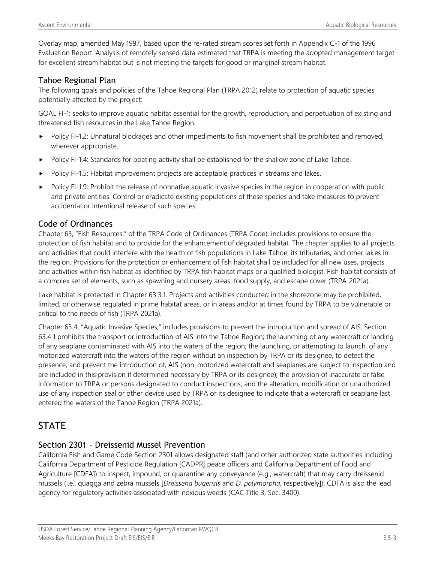Overlay map, amended May 1997, based upon the re-rated stream scores set forth in Appendix C-1 of the 1996 Evaluation Report. Analysis of remotely sensed data estimated that TRPA is meeting the adopted management target for excellent stream habitat but is not meeting the targets for good or marginal stream habitat.

### Tahoe Regional Plan

The following goals and policies of the Tahoe Regional Plan (TRPA 2012) relate to protection of aquatic species potentially affected by the project:

GOAL FI-1: seeks to improve aquatic habitat essential for the growth, reproduction, and perpetuation of existing and threatened fish resources in the Lake Tahoe Region.

- Policy FI-1.2: Unnatural blockages and other impediments to fish movement shall be prohibited and removed, wherever appropriate.
- Policy FI-1.4: Standards for boating activity shall be established for the shallow zone of Lake Tahoe.
- Policy FI-1.5: Habitat improvement projects are acceptable practices in streams and lakes.
- Policy FI-1.9: Prohibit the release of nonnative aquatic invasive species in the region in cooperation with public and private entities. Control or eradicate existing populations of these species and take measures to prevent accidental or intentional release of such species.

### Code of Ordinances

Chapter 63, "Fish Resources," of the TRPA Code of Ordinances (TRPA Code), includes provisions to ensure the protection of fish habitat and to provide for the enhancement of degraded habitat. The chapter applies to all projects and activities that could interfere with the health of fish populations in Lake Tahoe, its tributaries, and other lakes in the region. Provisions for the protection or enhancement of fish habitat shall be included for all new uses, projects and activities within fish habitat as identified by TRPA fish habitat maps or a qualified biologist. Fish habitat consists of a complex set of elements, such as spawning and nursery areas, food supply, and escape cover (TRPA 2021a).

Lake habitat is protected in Chapter 63.3.1. Projects and activities conducted in the shorezone may be prohibited, limited, or otherwise regulated in prime habitat areas, or in areas and/or at times found by TRPA to be vulnerable or critical to the needs of fish (TRPA 2021a).

Chapter 63.4, "Aquatic Invasive Species," includes provisions to prevent the introduction and spread of AIS. Section 63.4.1 prohibits the transport or introduction of AIS into the Tahoe Region; the launching of any watercraft or landing of any seaplane contaminated with AIS into the waters of the region; the launching, or attempting to launch, of any motorized watercraft into the waters of the region without an inspection by TRPA or its designee, to detect the presence, and prevent the introduction of, AIS (non-motorized watercraft and seaplanes are subject to inspection and are included in this provision if determined necessary by TRPA or its designee); the provision of inaccurate or false information to TRPA or persons designated to conduct inspections; and the alteration, modification or unauthorized use of any inspection seal or other device used by TRPA or its designee to indicate that a watercraft or seaplane last entered the waters of the Tahoe Region (TRPA 2021a).

## **STATE**

### Section 2301 – Dreissenid Mussel Prevention

California Fish and Game Code Section 2301 allows designated staff (and other authorized state authorities including California Department of Pesticide Regulation [CADPR] peace officers and California Department of Food and Agriculture [CDFA]) to inspect, impound, or quarantine any conveyance (e.g., watercraft) that may carry dreissenid mussels (i.e., quagga and zebra mussels [*Dreissena bugensis* and *D. polymorpha*, respectively]). CDFA is also the lead agency for regulatory activities associated with noxious weeds (CAC Title 3, Sec. 3400).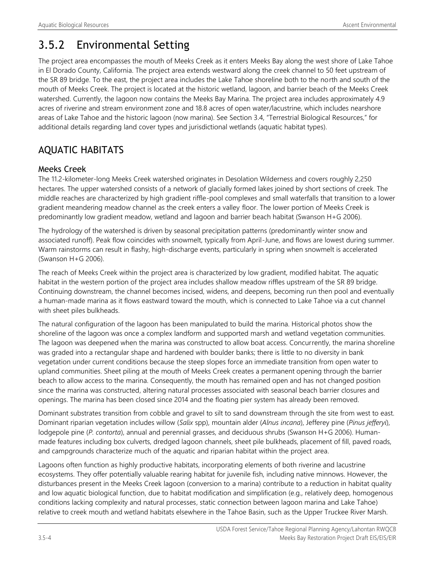# 3.5.2 Environmental Setting

The project area encompasses the mouth of Meeks Creek as it enters Meeks Bay along the west shore of Lake Tahoe in El Dorado County, California. The project area extends westward along the creek channel to 50 feet upstream of the SR 89 bridge. To the east, the project area includes the Lake Tahoe shoreline both to the north and south of the mouth of Meeks Creek. The project is located at the historic wetland, lagoon, and barrier beach of the Meeks Creek watershed. Currently, the lagoon now contains the Meeks Bay Marina. The project area includes approximately 4.9 acres of riverine and stream environment zone and 18.8 acres of open water/lacustrine, which includes nearshore areas of Lake Tahoe and the historic lagoon (now marina). See Section 3.4, "Terrestrial Biological Resources," for additional details regarding land cover types and jurisdictional wetlands (aquatic habitat types).

## AQUATIC HABITATS

## Meeks Creek

The 11.2-kilometer-long Meeks Creek watershed originates in Desolation Wilderness and covers roughly 2,250 hectares. The upper watershed consists of a network of glacially formed lakes joined by short sections of creek. The middle reaches are characterized by high gradient riffle-pool complexes and small waterfalls that transition to a lower gradient meandering meadow channel as the creek enters a valley floor. The lower portion of Meeks Creek is predominantly low gradient meadow, wetland and lagoon and barrier beach habitat (Swanson H+G 2006).

The hydrology of the watershed is driven by seasonal precipitation patterns (predominantly winter snow and associated runoff). Peak flow coincides with snowmelt, typically from April-June, and flows are lowest during summer. Warm rainstorms can result in flashy, high-discharge events, particularly in spring when snowmelt is accelerated (Swanson H+G 2006).

The reach of Meeks Creek within the project area is characterized by low gradient, modified habitat. The aquatic habitat in the western portion of the project area includes shallow meadow riffles upstream of the SR 89 bridge. Continuing downstream, the channel becomes incised, widens, and deepens, becoming run then pool and eventually a human-made marina as it flows eastward toward the mouth, which is connected to Lake Tahoe via a cut channel with sheet piles bulkheads.

The natural configuration of the lagoon has been manipulated to build the marina. Historical photos show the shoreline of the lagoon was once a complex landform and supported marsh and wetland vegetation communities. The lagoon was deepened when the marina was constructed to allow boat access. Concurrently, the marina shoreline was graded into a rectangular shape and hardened with boulder banks; there is little to no diversity in bank vegetation under current conditions because the steep slopes force an immediate transition from open water to upland communities. Sheet piling at the mouth of Meeks Creek creates a permanent opening through the barrier beach to allow access to the marina. Consequently, the mouth has remained open and has not changed position since the marina was constructed, altering natural processes associated with seasonal beach barrier closures and openings. The marina has been closed since 2014 and the floating pier system has already been removed.

Dominant substrates transition from cobble and gravel to silt to sand downstream through the site from west to east. Dominant riparian vegetation includes willow (*Salix* spp), mountain alder (*Alnus incana*), Jefferey pine (*Pinus jefferyi*), lodgepole pine (*P. contorta*), annual and perennial grasses, and deciduous shrubs (Swanson H+G 2006). Humanmade features including box culverts, dredged lagoon channels, sheet pile bulkheads, placement of fill, paved roads, and campgrounds characterize much of the aquatic and riparian habitat within the project area.

Lagoons often function as highly productive habitats, incorporating elements of both riverine and lacustrine ecosystems. They offer potentially valuable rearing habitat for juvenile fish, including native minnows. However, the disturbances present in the Meeks Creek lagoon (conversion to a marina) contribute to a reduction in habitat quality and low aquatic biological function, due to habitat modification and simplification (e.g., relatively deep, homogenous conditions lacking complexity and natural processes, static connection between lagoon marina and Lake Tahoe) relative to creek mouth and wetland habitats elsewhere in the Tahoe Basin, such as the Upper Truckee River Marsh.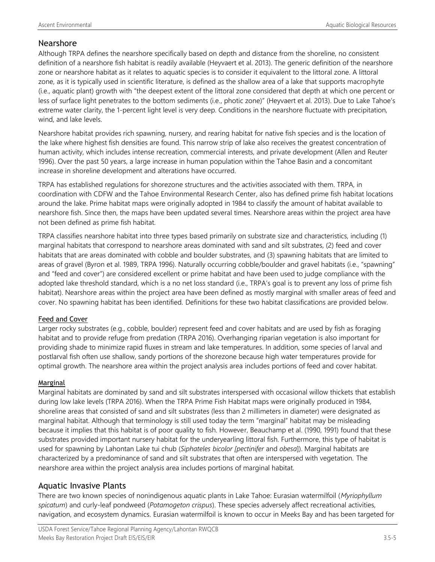#### Nearshore

Although TRPA defines the nearshore specifically based on depth and distance from the shoreline, no consistent definition of a nearshore fish habitat is readily available (Heyvaert et al. 2013). The generic definition of the nearshore zone or nearshore habitat as it relates to aquatic species is to consider it equivalent to the littoral zone. A littoral zone, as it is typically used in scientific literature, is defined as the shallow area of a lake that supports macrophyte (i.e., aquatic plant) growth with "the deepest extent of the littoral zone considered that depth at which one percent or less of surface light penetrates to the bottom sediments (i.e., photic zone)" (Heyvaert et al. 2013). Due to Lake Tahoe's extreme water clarity, the 1-percent light level is very deep. Conditions in the nearshore fluctuate with precipitation, wind, and lake levels.

Nearshore habitat provides rich spawning, nursery, and rearing habitat for native fish species and is the location of the lake where highest fish densities are found. This narrow strip of lake also receives the greatest concentration of human activity, which includes intense recreation, commercial interests, and private development (Allen and Reuter 1996). Over the past 50 years, a large increase in human population within the Tahoe Basin and a concomitant increase in shoreline development and alterations have occurred.

TRPA has established regulations for shorezone structures and the activities associated with them. TRPA, in coordination with CDFW and the Tahoe Environmental Research Center, also has defined prime fish habitat locations around the lake. Prime habitat maps were originally adopted in 1984 to classify the amount of habitat available to nearshore fish. Since then, the maps have been updated several times. Nearshore areas within the project area have not been defined as prime fish habitat.

TRPA classifies nearshore habitat into three types based primarily on substrate size and characteristics, including (1) marginal habitats that correspond to nearshore areas dominated with sand and silt substrates, (2) feed and cover habitats that are areas dominated with cobble and boulder substrates, and (3) spawning habitats that are limited to areas of gravel (Byron et al. 1989, TRPA 1996). Naturally occurring cobble/boulder and gravel habitats (i.e., "spawning" and "feed and cover") are considered excellent or prime habitat and have been used to judge compliance with the adopted lake threshold standard, which is a no net loss standard (i.e., TRPA's goal is to prevent any loss of prime fish habitat). Nearshore areas within the project area have been defined as mostly marginal with smaller areas of feed and cover. No spawning habitat has been identified. Definitions for these two habitat classifications are provided below.

#### Feed and Cover

Larger rocky substrates (e.g., cobble, boulder) represent feed and cover habitats and are used by fish as foraging habitat and to provide refuge from predation (TRPA 2016). Overhanging riparian vegetation is also important for providing shade to minimize rapid fluxes in stream and lake temperatures. In addition, some species of larval and postlarval fish often use shallow, sandy portions of the shorezone because high water temperatures provide for optimal growth. The nearshore area within the project analysis area includes portions of feed and cover habitat.

#### Marginal

Marginal habitats are dominated by sand and silt substrates interspersed with occasional willow thickets that establish during low lake levels (TRPA 2016). When the TRPA Prime Fish Habitat maps were originally produced in 1984, shoreline areas that consisted of sand and silt substrates (less than 2 millimeters in diameter) were designated as marginal habitat. Although that terminology is still used today the term "marginal" habitat may be misleading because it implies that this habitat is of poor quality to fish. However, Beauchamp et al. (1990, 1991) found that these substrates provided important nursery habitat for the underyearling littoral fish. Furthermore, this type of habitat is used for spawning by Lahontan Lake tui chub (*Siphateles bicolor [pectinifer* and *obesa*]). Marginal habitats are characterized by a predominance of sand and silt substrates that often are interspersed with vegetation. The nearshore area within the project analysis area includes portions of marginal habitat.

#### Aquatic Invasive Plants

There are two known species of nonindigenous aquatic plants in Lake Tahoe: Eurasian watermilfoil (*Myriophyllum spicatum*) and curly-leaf pondweed (*Potamogeton crispus*). These species adversely affect recreational activities, navigation, and ecosystem dynamics. Eurasian watermilfoil is known to occur in Meeks Bay and has been targeted for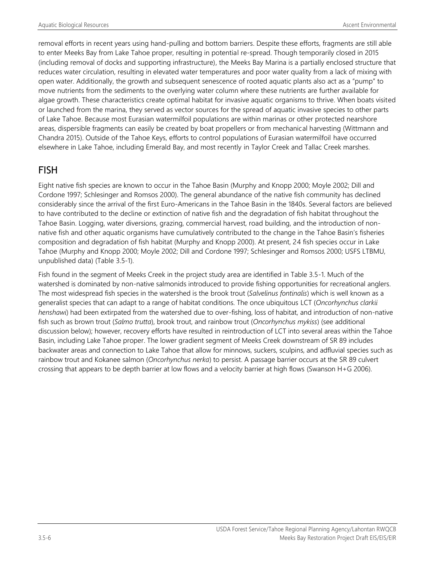removal efforts in recent years using hand-pulling and bottom barriers. Despite these efforts, fragments are still able to enter Meeks Bay from Lake Tahoe proper, resulting in potential re-spread. Though temporarily closed in 2015 (including removal of docks and supporting infrastructure), the Meeks Bay Marina is a partially enclosed structure that reduces water circulation, resulting in elevated water temperatures and poor water quality from a lack of mixing with open water. Additionally, the growth and subsequent senescence of rooted aquatic plants also act as a "pump" to move nutrients from the sediments to the overlying water column where these nutrients are further available for algae growth. These characteristics create optimal habitat for invasive aquatic organisms to thrive. When boats visited or launched from the marina, they served as vector sources for the spread of aquatic invasive species to other parts of Lake Tahoe. Because most Eurasian watermilfoil populations are within marinas or other protected nearshore areas, dispersible fragments can easily be created by boat propellers or from mechanical harvesting (Wittmann and Chandra 2015). Outside of the Tahoe Keys, efforts to control populations of Eurasian watermilfoil have occurred elsewhere in Lake Tahoe, including Emerald Bay, and most recently in Taylor Creek and Tallac Creek marshes.

## FISH

Eight native fish species are known to occur in the Tahoe Basin (Murphy and Knopp 2000; Moyle 2002; Dill and Cordone 1997; Schlesinger and Romsos 2000). The general abundance of the native fish community has declined considerably since the arrival of the first Euro-Americans in the Tahoe Basin in the 1840s. Several factors are believed to have contributed to the decline or extinction of native fish and the degradation of fish habitat throughout the Tahoe Basin. Logging, water diversions, grazing, commercial harvest, road building, and the introduction of nonnative fish and other aquatic organisms have cumulatively contributed to the change in the Tahoe Basin's fisheries composition and degradation of fish habitat (Murphy and Knopp 2000). At present, 24 fish species occur in Lake Tahoe (Murphy and Knopp 2000; Moyle 2002; Dill and Cordone 1997; Schlesinger and Romsos 2000; USFS LTBMU, unpublished data) (Table 3.5-1).

Fish found in the segment of Meeks Creek in the project study area are identified in Table 3.5-1. Much of the watershed is dominated by non-native salmonids introduced to provide fishing opportunities for recreational anglers. The most widespread fish species in the watershed is the brook trout (*Salvelinus fontinalis*) which is well known as a generalist species that can adapt to a range of habitat conditions. The once ubiquitous LCT (*Oncorhynchus clarkii henshawi*) had been extirpated from the watershed due to over-fishing, loss of habitat, and introduction of non-native fish such as brown trout (*Salmo trutta*), brook trout, and rainbow trout (*Oncorhynchus mykiss*) (see additional discussion below); however, recovery efforts have resulted in reintroduction of LCT into several areas within the Tahoe Basin, including Lake Tahoe proper. The lower gradient segment of Meeks Creek downstream of SR 89 includes backwater areas and connection to Lake Tahoe that allow for minnows, suckers, sculpins, and adfluvial species such as rainbow trout and Kokanee salmon (*Oncorhynchus nerka*) to persist. A passage barrier occurs at the SR 89 culvert crossing that appears to be depth barrier at low flows and a velocity barrier at high flows (Swanson H+G 2006).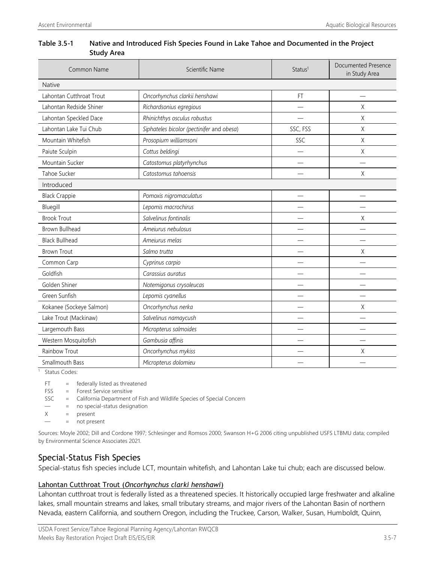| Table 3.5-1 | Native and Introduced Fish Species Found in Lake Tahoe and Documented in the Project |
|-------------|--------------------------------------------------------------------------------------|
|             | <b>Study Area</b>                                                                    |

| Common Name                             | Scientific Name                           | Status <sup>1</sup>      | Documented Presence<br>in Study Area |
|-----------------------------------------|-------------------------------------------|--------------------------|--------------------------------------|
| <b>Native</b>                           |                                           |                          |                                      |
| Lahontan Cutthroat Trout                | Oncorhynchus clarkii henshawi             | FT                       |                                      |
| Lahontan Redside Shiner                 | Richardsonius egregious                   |                          | Χ                                    |
| Lahontan Speckled Dace                  | Rhinichthys osculus robustus              |                          | Χ                                    |
| Lahontan Lake Tui Chub                  | Siphateles bicolor (pectinifer and obesa) | SSC, FSS                 | Χ                                    |
| Mountain Whitefish                      | Prosopium williamsoni                     | SSC                      | Χ                                    |
| Paiute Sculpin                          | Cottus beldingi                           |                          | Χ                                    |
| Mountain Sucker                         | Catostomus platyrhynchus                  |                          |                                      |
| Tahoe Sucker                            | Catostomus tahoensis                      |                          | Χ                                    |
| Introduced                              |                                           |                          |                                      |
| <b>Black Crappie</b>                    | Pomoxis nigromaculatus                    | $\overline{\phantom{0}}$ |                                      |
| Bluegill                                | Lepomis macrochirus                       |                          |                                      |
| <b>Brook Trout</b>                      | Salvelinus fontinalis                     |                          | Χ                                    |
| <b>Brown Bullhead</b>                   | Ameiurus nebulosus                        |                          |                                      |
| <b>Black Bullhead</b>                   | Ameiurus melas                            |                          |                                      |
| <b>Brown Trout</b>                      | Salmo trutta                              |                          | X                                    |
| Common Carp                             | Cyprinus carpio                           |                          |                                      |
| Goldfish                                | Carassius auratus                         |                          |                                      |
| Golden Shiner                           | Notemigonus crysoleucas                   |                          |                                      |
| Green Sunfish                           | Lepomis cyanellus                         |                          |                                      |
| Kokanee (Sockeye Salmon)                | Oncorhynchus nerka                        |                          | Χ                                    |
| Lake Trout (Mackinaw)                   | Salvelinus namaycush                      |                          |                                      |
| Largemouth Bass                         | Micropterus salmoides                     |                          |                                      |
| Western Mosquitofish                    | Gambusia affinis                          |                          |                                      |
| Rainbow Trout                           | Oncorhynchus mykiss                       |                          | Χ                                    |
| Micropterus dolomieu<br>Smallmouth Bass |                                           |                          |                                      |

Status Codes:

FT = federally listed as threatened

FSS = Forest Service sensitive

SSC = California Department of Fish and Wildlife Species of Special Concern

— = no special-status designation

 $X =$  present

— = not present

Sources: Moyle 2002; Dill and Cordone 1997; Schlesinger and Romsos 2000; Swanson H+G 2006 citing unpublished USFS LTBMU data; compiled by Environmental Science Associates 2021.

#### Special-Status Fish Species

Special-status fish species include LCT, mountain whitefish, and Lahontan Lake tui chub; each are discussed below.

#### Lahontan Cutthroat Trout (*Oncorhynchus clarki henshawi*)

Lahontan cutthroat trout is federally listed as a threatened species. It historically occupied large freshwater and alkaline lakes, small mountain streams and lakes, small tributary streams, and major rivers of the Lahontan Basin of northern Nevada, eastern California, and southern Oregon, including the Truckee, Carson, Walker, Susan, Humboldt, Quinn,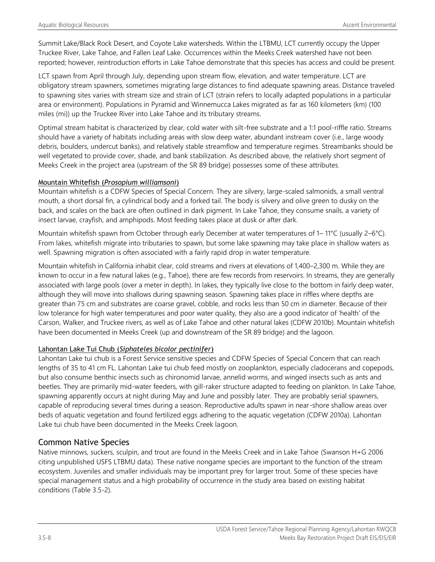Summit Lake/Black Rock Desert, and Coyote Lake watersheds. Within the LTBMU, LCT currently occupy the Upper Truckee River, Lake Tahoe, and Fallen Leaf Lake. Occurrences within the Meeks Creek watershed have not been reported; however, reintroduction efforts in Lake Tahoe demonstrate that this species has access and could be present.

LCT spawn from April through July, depending upon stream flow, elevation, and water temperature. LCT are obligatory stream spawners, sometimes migrating large distances to find adequate spawning areas. Distance traveled to spawning sites varies with stream size and strain of LCT (strain refers to locally adapted populations in a particular area or environment). Populations in Pyramid and Winnemucca Lakes migrated as far as 160 kilometers (km) (100 miles (mi)) up the Truckee River into Lake Tahoe and its tributary streams.

Optimal stream habitat is characterized by clear, cold water with silt-free substrate and a 1:1 pool-riffle ratio. Streams should have a variety of habitats including areas with slow deep water, abundant instream cover (i.e., large woody debris, boulders, undercut banks), and relatively stable streamflow and temperature regimes. Streambanks should be well vegetated to provide cover, shade, and bank stabilization. As described above, the relatively short segment of Meeks Creek in the project area (upstream of the SR 89 bridge) possesses some of these attributes.

#### Mountain Whitefish (*Prosopium williamsoni*)

Mountain whitefish is a CDFW Species of Special Concern. They are silvery, large-scaled salmonids, a small ventral mouth, a short dorsal fin, a cylindrical body and a forked tail. The body is silvery and olive green to dusky on the back, and scales on the back are often outlined in dark pigment. In Lake Tahoe, they consume snails, a variety of insect larvae, crayfish, and amphipods. Most feeding takes place at dusk or after dark.

Mountain whitefish spawn from October through early December at water temperatures of 1–11°C (usually 2–6°C). From lakes, whitefish migrate into tributaries to spawn, but some lake spawning may take place in shallow waters as well. Spawning migration is often associated with a fairly rapid drop in water temperature.

Mountain whitefish in California inhabit clear, cold streams and rivers at elevations of 1,400–2,300 m. While they are known to occur in a few natural lakes (e.g., Tahoe), there are few records from reservoirs. In streams, they are generally associated with large pools (over a meter in depth). In lakes, they typically live close to the bottom in fairly deep water, although they will move into shallows during spawning season. Spawning takes place in riffles where depths are greater than 75 cm and substrates are coarse gravel, cobble, and rocks less than 50 cm in diameter. Because of their low tolerance for high water temperatures and poor water quality, they also are a good indicator of 'health' of the Carson, Walker, and Truckee rivers, as well as of Lake Tahoe and other natural lakes (CDFW 2010b). Mountain whitefish have been documented in Meeks Creek (up and downstream of the SR 89 bridge) and the lagoon.

#### Lahontan Lake Tui Chub (*Siphateles bicolor pectinifer*)

Lahontan Lake tui chub is a Forest Service sensitive species and CDFW Species of Special Concern that can reach lengths of 35 to 41 cm FL. Lahontan Lake tui chub feed mostly on zooplankton, especially cladocerans and copepods, but also consume benthic insects such as chironomid larvae, annelid worms, and winged insects such as ants and beetles. They are primarily mid-water feeders, with gill-raker structure adapted to feeding on plankton. In Lake Tahoe, spawning apparently occurs at night during May and June and possibly later. They are probably serial spawners, capable of reproducing several times during a season. Reproductive adults spawn in near-shore shallow areas over beds of aquatic vegetation and found fertilized eggs adhering to the aquatic vegetation (CDFW 2010a). Lahontan Lake tui chub have been documented in the Meeks Creek lagoon.

#### Common Native Species

Native minnows, suckers, sculpin, and trout are found in the Meeks Creek and in Lake Tahoe (Swanson H+G 2006 citing unpublished USFS LTBMU data). These native nongame species are important to the function of the stream ecosystem. Juveniles and smaller individuals may be important prey for larger trout. Some of these species have special management status and a high probability of occurrence in the study area based on existing habitat conditions (Table 3.5-2).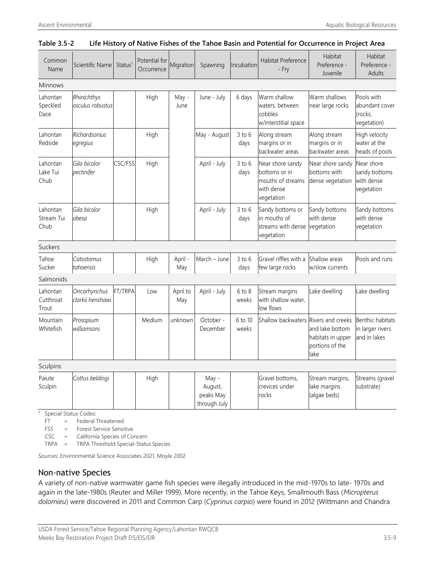#### **Table 3.5-2 Life History of Native Fishes of the Tahoe Basin and Potential for Occurrence in Project Area**

| Common<br>Name                             | Scientific Name                  | Status <sup>1</sup> | Potential for<br>Occurrence | Migration       | Spawning                                      | Incubation          | Habitat Preference<br>- Fry                                                        | Habitat<br>Preference -<br>Juvenile                                                  | Habitat<br>Preference -<br><b>Adults</b>                |  |  |
|--------------------------------------------|----------------------------------|---------------------|-----------------------------|-----------------|-----------------------------------------------|---------------------|------------------------------------------------------------------------------------|--------------------------------------------------------------------------------------|---------------------------------------------------------|--|--|
| <b>Minnows</b>                             |                                  |                     |                             |                 |                                               |                     |                                                                                    |                                                                                      |                                                         |  |  |
| Lahontan<br>Speckled<br>Dace               | Rhinichthys<br>osculus robustus  |                     | High                        | May -<br>June   | June - July                                   | 6 days              | Warm shallow<br>waters, between<br>cobbles<br>w/interstitial space                 | Warm shallows<br>near large rocks                                                    | Pools with<br>abundant cover<br>(rocks,<br>vegetation)  |  |  |
| Lahontan<br>Redside                        | Richardsonius<br>egregius        |                     | High                        |                 | May - August                                  | $3$ to $6$<br>days  | Along stream<br>margins or in<br>backwater areas                                   | Along stream<br>margins or in<br>backwater areas                                     | High velocity<br>water at the<br>heads of pools         |  |  |
| Lahontan<br>Lake Tui<br>Chub               | Gila bicolor<br>pectinifer       | CSC/FSS             | High                        |                 | April - July                                  | $3$ to $6$<br>days  | Near shore sandy<br>bottoms or in<br>mouths of streams<br>with dense<br>vegetation | Near shore sandy<br>bottoms with<br>dense vegetation                                 | Near shore<br>sandy bottoms<br>with dense<br>vegetation |  |  |
| Lahontan<br>Stream Tui<br>Chub             | Gila bicolor<br>obesa            |                     | High                        |                 | April - July                                  | $3$ to $6$<br>days  | Sandy bottoms or<br>in mouths of<br>streams with dense<br>vegetation               | Sandy bottoms<br>with dense<br>vegetation                                            | Sandy bottoms<br>with dense<br>vegetation               |  |  |
| <b>Suckers</b>                             |                                  |                     |                             |                 |                                               |                     |                                                                                    |                                                                                      |                                                         |  |  |
| Tahoe<br>Sucker                            | Catostomus<br>tahoensis          |                     | High                        | April -<br>May  | March - June                                  | $3$ to $6$<br>days  | Gravel riffles with a<br>few large rocks                                           | Shallow areas<br>w/slow currents                                                     | Pools and runs                                          |  |  |
| Salmonids                                  |                                  |                     |                             |                 |                                               |                     |                                                                                    |                                                                                      |                                                         |  |  |
| Lahontan<br>Cutthroat<br>Trout             | Oncorhynchus<br>clarkii henshawi | FT/TRPA             | Low                         | April to<br>May | April - July                                  | $6$ to $8$<br>weeks | Stream margins<br>with shallow water,<br>low flows                                 | Lake dwelling                                                                        | Lake dwelling                                           |  |  |
| Mountain<br>Whitefish                      | Prosopium<br>williamsoni         |                     | Medium                      | unknown         | October -<br>December                         | 6 to 10<br>weeks    | Shallow backwaters                                                                 | Rivers and creeks<br>and lake bottom<br>habitats in upper<br>portions of the<br>lake | Benthic habitats<br>in larger rivers<br>and in lakes    |  |  |
| Sculpins                                   |                                  |                     |                             |                 |                                               |                     |                                                                                    |                                                                                      |                                                         |  |  |
| Paiute<br>Sculpin<br>Special Status Codes: | Cottus beldingi                  |                     | High                        |                 | May -<br>August,<br>peaks May<br>through July |                     | Gravel bottoms,<br>crevices under<br>rocks                                         | Stream margins,<br>lake margins<br>(algae beds)                                      | Streams (gravel<br>substrate)                           |  |  |

FT = Federal Threatened

FSS = Forest Service Sensitive

CSC = California Species of Concern

TRPA = TRPA Threshold Special-Status Species

Sources: Environmental Science Associates 2021, Moyle 2002

#### Non-native Species

A variety of non-native warmwater game fish species were illegally introduced in the mid-1970s to late- 1970s and again in the late-1980s (Reuter and Miller 1999). More recently, in the Tahoe Keys, Smallmouth Bass (*Micropterus dolomieu*) were discovered in 2011 and Common Carp (*Cyprinus carpio*) were found in 2012 (Wittmann and Chandra

USDA Forest Service/Tahoe Regional Planning Agency/Lahontan RWQCB Meeks Bay Restoration Project Draft EIS/EIS/EIR 3.5-9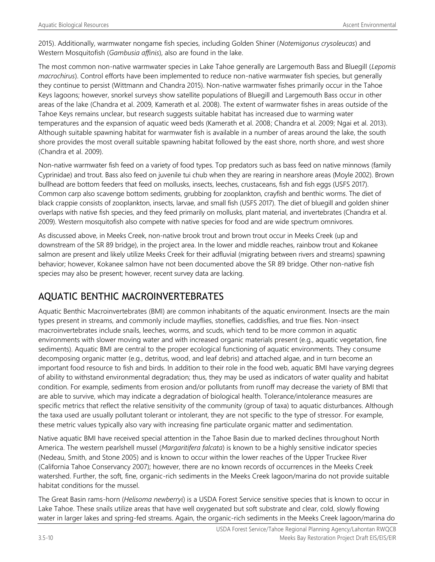2015). Additionally, warmwater nongame fish species, including Golden Shiner (*Notemigonus crysoleucas*) and Western Mosquitofish (*Gambusia affinis*), also are found in the lake.

The most common non-native warmwater species in Lake Tahoe generally are Largemouth Bass and Bluegill (*Lepomis macrochirus*). Control efforts have been implemented to reduce non-native warmwater fish species, but generally they continue to persist (Wittmann and Chandra 2015). Non-native warmwater fishes primarily occur in the Tahoe Keys lagoons; however, snorkel surveys show satellite populations of Bluegill and Largemouth Bass occur in other areas of the lake (Chandra et al. 2009, Kamerath et al. 2008). The extent of warmwater fishes in areas outside of the Tahoe Keys remains unclear, but research suggests suitable habitat has increased due to warming water temperatures and the expansion of aquatic weed beds (Kamerath et al. 2008; Chandra et al. 2009; Ngai et al. 2013). Although suitable spawning habitat for warmwater fish is available in a number of areas around the lake, the south shore provides the most overall suitable spawning habitat followed by the east shore, north shore, and west shore (Chandra et al. 2009).

Non-native warmwater fish feed on a variety of food types. Top predators such as bass feed on native minnows (family Cyprinidae) and trout. Bass also feed on juvenile tui chub when they are rearing in nearshore areas (Moyle 2002). Brown bullhead are bottom feeders that feed on mollusks, insects, leeches, crustaceans, fish and fish eggs (USFS 2017). Common carp also scavenge bottom sediments, grubbing for zooplankton, crayfish and benthic worms. The diet of black crappie consists of zooplankton, insects, larvae, and small fish (USFS 2017). The diet of bluegill and golden shiner overlaps with native fish species, and they feed primarily on mollusks, plant material, and invertebrates (Chandra et al. 2009). Western mosquitofish also compete with native species for food and are wide spectrum omnivores.

As discussed above, in Meeks Creek, non-native brook trout and brown trout occur in Meeks Creek (up and downstream of the SR 89 bridge), in the project area. In the lower and middle reaches, rainbow trout and Kokanee salmon are present and likely utilize Meeks Creek for their adfluvial (migrating between rivers and streams) spawning behavior; however, Kokanee salmon have not been documented above the SR 89 bridge. Other non-native fish species may also be present; however, recent survey data are lacking.

## AQUATIC BENTHIC MACROINVERTEBRATES

Aquatic Benthic Macroinvertebrates (BMI) are common inhabitants of the aquatic environment. Insects are the main types present in streams, and commonly include mayflies, stoneflies, caddisflies, and true flies. Non-insect macroinvertebrates include snails, leeches, worms, and scuds, which tend to be more common in aquatic environments with slower moving water and with increased organic materials present (e.g., aquatic vegetation, fine sediments). Aquatic BMI are central to the proper ecological functioning of aquatic environments. They consume decomposing organic matter (e.g., detritus, wood, and leaf debris) and attached algae, and in turn become an important food resource to fish and birds. In addition to their role in the food web, aquatic BMI have varying degrees of ability to withstand environmental degradation; thus, they may be used as indicators of water quality and habitat condition. For example, sediments from erosion and/or pollutants from runoff may decrease the variety of BMI that are able to survive, which may indicate a degradation of biological health. Tolerance/intolerance measures are specific metrics that reflect the relative sensitivity of the community (group of taxa) to aquatic disturbances. Although the taxa used are usually pollutant tolerant or intolerant, they are not specific to the type of stressor. For example, these metric values typically also vary with increasing fine particulate organic matter and sedimentation.

Native aquatic BMI have received special attention in the Tahoe Basin due to marked declines throughout North America. The western pearlshell mussel (*Margaritifera falcata*) is known to be a highly sensitive indicator species (Nedeau, Smith, and Stone 2005) and is known to occur within the lower reaches of the Upper Truckee River (California Tahoe Conservancy 2007); however, there are no known records of occurrences in the Meeks Creek watershed. Further, the soft, fine, organic-rich sediments in the Meeks Creek lagoon/marina do not provide suitable habitat conditions for the mussel.

The Great Basin rams-horn (*Helisoma newberryi*) is a USDA Forest Service sensitive species that is known to occur in Lake Tahoe. These snails utilize areas that have well oxygenated but soft substrate and clear, cold, slowly flowing water in larger lakes and spring-fed streams. Again, the organic-rich sediments in the Meeks Creek lagoon/marina do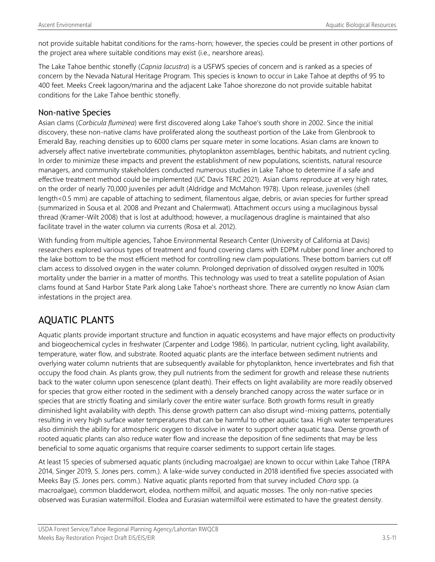not provide suitable habitat conditions for the rams-horn; however, the species could be present in other portions of the project area where suitable conditions may exist (i.e., nearshore areas).

The Lake Tahoe benthic stonefly (*Capnia lacustra*) is a USFWS species of concern and is ranked as a species of concern by the Nevada Natural Heritage Program. This species is known to occur in Lake Tahoe at depths of 95 to 400 feet. Meeks Creek lagoon/marina and the adjacent Lake Tahoe shorezone do not provide suitable habitat conditions for the Lake Tahoe benthic stonefly.

### Non-native Species

Asian clams (*Corbicula fluminea*) were first discovered along Lake Tahoe's south shore in 2002. Since the initial discovery, these non-native clams have proliferated along the southeast portion of the Lake from Glenbrook to Emerald Bay, reaching densities up to 6000 clams per square meter in some locations. Asian clams are known to adversely affect native invertebrate communities, phytoplankton assemblages, benthic habitats, and nutrient cycling. In order to minimize these impacts and prevent the establishment of new populations, scientists, natural resource managers, and community stakeholders conducted numerous studies in Lake Tahoe to determine if a safe and effective treatment method could be implemented (UC Davis TERC 2021). Asian clams reproduce at very high rates, on the order of nearly 70,000 juveniles per adult (Aldridge and McMahon 1978). Upon release, juveniles (shell length<0.5 mm) are capable of attaching to sediment, filamentous algae, debris, or avian species for further spread (summarized in Sousa et al. 2008 and Prezant and Chalermwat). Attachment occurs using a mucilaginous byssal thread (Kramer-Wilt 2008) that is lost at adulthood; however, a mucilagenous dragline is maintained that also facilitate travel in the water column via currents (Rosa et al. 2012).

With funding from multiple agencies, Tahoe Environmental Research Center (University of California at Davis) researchers explored various types of treatment and found covering clams with EDPM rubber pond liner anchored to the lake bottom to be the most efficient method for controlling new clam populations. These bottom barriers cut off clam access to dissolved oxygen in the water column. Prolonged deprivation of dissolved oxygen resulted in 100% mortality under the barrier in a matter of months. This technology was used to treat a satellite population of Asian clams found at Sand Harbor State Park along Lake Tahoe's northeast shore. There are currently no know Asian clam infestations in the project area.

## AQUATIC PLANTS

Aquatic plants provide important structure and function in aquatic ecosystems and have major effects on productivity and biogeochemical cycles in freshwater (Carpenter and Lodge 1986). In particular, nutrient cycling, light availability, temperature, water flow, and substrate. Rooted aquatic plants are the interface between sediment nutrients and overlying water column nutrients that are subsequently available for phytoplankton, hence invertebrates and fish that occupy the food chain. As plants grow, they pull nutrients from the sediment for growth and release these nutrients back to the water column upon senescence (plant death). Their effects on light availability are more readily observed for species that grow either rooted in the sediment with a densely branched canopy across the water surface or in species that are strictly floating and similarly cover the entire water surface. Both growth forms result in greatly diminished light availability with depth. This dense growth pattern can also disrupt wind-mixing patterns, potentially resulting in very high surface water temperatures that can be harmful to other aquatic taxa. High water temperatures also diminish the ability for atmospheric oxygen to dissolve in water to support other aquatic taxa. Dense growth of rooted aquatic plants can also reduce water flow and increase the deposition of fine sediments that may be less beneficial to some aquatic organisms that require coarser sediments to support certain life stages.

At least 15 species of submersed aquatic plants (including macroalgae) are known to occur within Lake Tahoe (TRPA 2014, Singer 2019, S. Jones pers. comm.). A lake-wide survey conducted in 2018 identified five species associated with Meeks Bay (S. Jones pers. comm.). Native aquatic plants reported from that survey included *Chara* spp. (a macroalgae), common bladderwort, elodea, northern milfoil, and aquatic mosses. The only non-native species observed was Eurasian watermilfoil. Elodea and Eurasian watermilfoil were estimated to have the greatest density.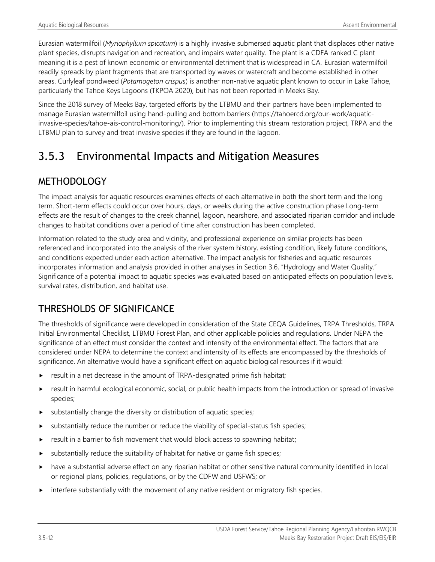Eurasian watermilfoil (*Myriophyllum spicatum*) is a highly invasive submersed aquatic plant that displaces other native plant species, disrupts navigation and recreation, and impairs water quality. The plant is a CDFA ranked C plant meaning it is a pest of known economic or environmental detriment that is widespread in CA. Eurasian watermilfoil readily spreads by plant fragments that are transported by waves or watercraft and become established in other areas. Curlyleaf pondweed (*Potamogeton crispus*) is another non-native aquatic plant known to occur in Lake Tahoe, particularly the Tahoe Keys Lagoons (TKPOA 2020), but has not been reported in Meeks Bay.

Since the 2018 survey of Meeks Bay, targeted efforts by the LTBMU and their partners have been implemented to manage Eurasian watermilfoil using hand-pulling and bottom barriers (https://tahoercd.org/our-work/aquaticinvasive-species/tahoe-ais-control-monitoring/). Prior to implementing this stream restoration project, TRPA and the LTBMU plan to survey and treat invasive species if they are found in the lagoon.

# 3.5.3 Environmental Impacts and Mitigation Measures

## METHODOLOGY

The impact analysis for aquatic resources examines effects of each alternative in both the short term and the long term. Short-term effects could occur over hours, days, or weeks during the active construction phase Long-term effects are the result of changes to the creek channel, lagoon, nearshore, and associated riparian corridor and include changes to habitat conditions over a period of time after construction has been completed.

Information related to the study area and vicinity, and professional experience on similar projects has been referenced and incorporated into the analysis of the river system history, existing condition, likely future conditions, and conditions expected under each action alternative. The impact analysis for fisheries and aquatic resources incorporates information and analysis provided in other analyses in Section 3.6, "Hydrology and Water Quality." Significance of a potential impact to aquatic species was evaluated based on anticipated effects on population levels, survival rates, distribution, and habitat use.

## THRESHOLDS OF SIGNIFICANCE

The thresholds of significance were developed in consideration of the State CEQA Guidelines, TRPA Thresholds, TRPA Initial Environmental Checklist, LTBMU Forest Plan, and other applicable policies and regulations. Under NEPA the significance of an effect must consider the context and intensity of the environmental effect. The factors that are considered under NEPA to determine the context and intensity of its effects are encompassed by the thresholds of significance. An alternative would have a significant effect on aquatic biological resources if it would:

- result in a net decrease in the amount of TRPA-designated prime fish habitat;
- result in harmful ecological economic, social, or public health impacts from the introduction or spread of invasive species;
- substantially change the diversity or distribution of aquatic species;
- substantially reduce the number or reduce the viability of special-status fish species;
- result in a barrier to fish movement that would block access to spawning habitat;
- substantially reduce the suitability of habitat for native or game fish species;
- have a substantial adverse effect on any riparian habitat or other sensitive natural community identified in local or regional plans, policies, regulations, or by the CDFW and USFWS; or
- interfere substantially with the movement of any native resident or migratory fish species.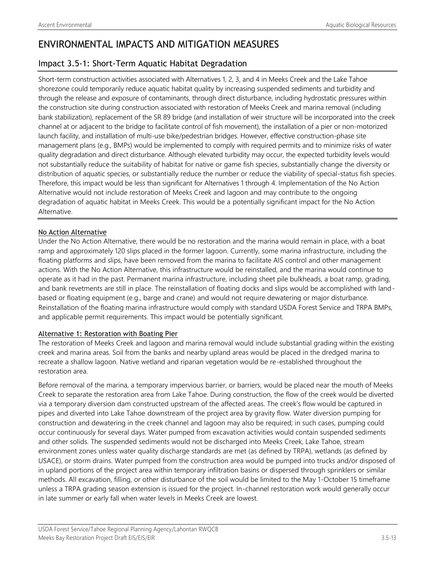## ENVIRONMENTAL IMPACTS AND MITIGATION MEASURES

## Impact 3.5-1: Short-Term Aquatic Habitat Degradation

Short-term construction activities associated with Alternatives 1, 2, 3, and 4 in Meeks Creek and the Lake Tahoe shorezone could temporarily reduce aquatic habitat quality by increasing suspended sediments and turbidity and through the release and exposure of contaminants, through direct disturbance, including hydrostatic pressures within the construction site during construction associated with restoration of Meeks Creek and marina removal (including bank stabilization), replacement of the SR 89 bridge (and installation of weir structure will be incorporated into the creek channel at or adjacent to the bridge to facilitate control of fish movement), the installation of a pier or non-motorized launch facility, and installation of multi-use bike/pedestrian bridges. However, effective construction-phase site management plans (e.g., BMPs) would be implemented to comply with required permits and to minimize risks of water quality degradation and direct disturbance. Although elevated turbidity may occur, the expected turbidity levels would not substantially reduce the suitability of habitat for native or game fish species, substantially change the diversity or distribution of aquatic species, or substantially reduce the number or reduce the viability of special-status fish species. Therefore, this impact would be less than significant for Alternatives 1 through 4. Implementation of the No Action Alternative would not include restoration of Meeks Creek and lagoon and may contribute to the ongoing degradation of aquatic habitat in Meeks Creek. This would be a potentially significant impact for the No Action Alternative.

#### No Action Alternative

Under the No Action Alternative, there would be no restoration and the marina would remain in place, with a boat ramp and approximately 120 slips placed in the former lagoon. Currently, some marina infrastructure, including the floating platforms and slips, have been removed from the marina to facilitate AIS control and other management actions. With the No Action Alternative, this infrastructure would be reinstalled, and the marina would continue to operate as it had in the past. Permanent marina infrastructure, including sheet pile bulkheads, a boat ramp, grading, and bank revetments are still in place. The reinstallation of floating docks and slips would be accomplished with landbased or floating equipment (e.g., barge and crane) and would not require dewatering or major disturbance. Reinstallation of the floating marina infrastructure would comply with standard USDA Forest Service and TRPA BMPs, and applicable permit requirements. This impact would be potentially significant.

#### Alternative 1: Restoration with Boating Pier

The restoration of Meeks Creek and lagoon and marina removal would include substantial grading within the existing creek and marina areas. Soil from the banks and nearby upland areas would be placed in the dredged marina to recreate a shallow lagoon. Native wetland and riparian vegetation would be re-established throughout the restoration area.

Before removal of the marina, a temporary impervious barrier, or barriers, would be placed near the mouth of Meeks Creek to separate the restoration area from Lake Tahoe. During construction, the flow of the creek would be diverted via a temporary diversion dam constructed upstream of the affected areas. The creek's flow would be captured in pipes and diverted into Lake Tahoe downstream of the project area by gravity flow. Water diversion pumping for construction and dewatering in the creek channel and lagoon may also be required; in such cases, pumping could occur continuously for several days. Water pumped from excavation activities would contain suspended sediments and other solids. The suspended sediments would not be discharged into Meeks Creek, Lake Tahoe, stream environment zones unless water quality discharge standards are met (as defined by TRPA), wetlands (as defined by USACE), or storm drains. Water pumped from the construction area would be pumped into trucks and/or disposed of in upland portions of the project area within temporary infiltration basins or dispersed through sprinklers or similar methods. All excavation, filling, or other disturbance of the soil would be limited to the May 1-October 15 timeframe unless a TRPA grading season extension is issued for the project. In-channel restoration work would generally occur in late summer or early fall when water levels in Meeks Creek are lowest.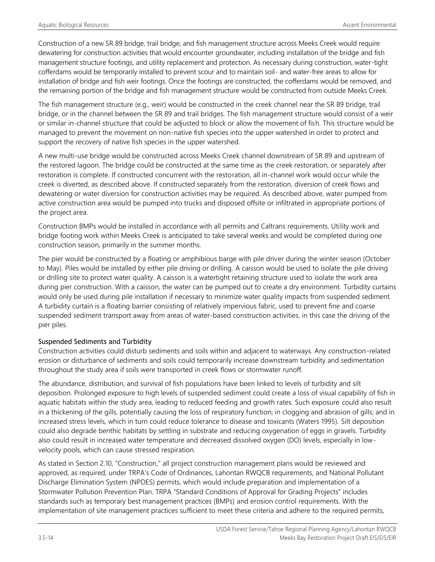Construction of a new SR 89 bridge, trail bridge, and fish management structure across Meeks Creek would require dewatering for construction activities that would encounter groundwater, including installation of the bridge and fish management structure footings, and utility replacement and protection. As necessary during construction, water-tight cofferdams would be temporarily installed to prevent scour and to maintain soil- and water-free areas to allow for installation of bridge and fish weir footings. Once the footings are constructed, the cofferdams would be removed, and the remaining portion of the bridge and fish management structure would be constructed from outside Meeks Creek.

The fish management structure (e.g., weir) would be constructed in the creek channel near the SR 89 bridge, trail bridge, or in the channel between the SR 89 and trail bridges. The fish management structure would consist of a weir or similar in-channel structure that could be adjusted to block or allow the movement of fish. This structure would be managed to prevent the movement on non-native fish species into the upper watershed in order to protect and support the recovery of native fish species in the upper watershed.

A new multi-use bridge would be constructed across Meeks Creek channel downstream of SR 89 and upstream of the restored lagoon. The bridge could be constructed at the same time as the creek restoration, or separately after restoration is complete. If constructed concurrent with the restoration, all in-channel work would occur while the creek is diverted, as described above. If constructed separately from the restoration, diversion of creek flows and dewatering or water diversion for construction activities may be required. As described above, water pumped from active construction area would be pumped into trucks and disposed offsite or infiltrated in appropriate portions of the project area.

Construction BMPs would be installed in accordance with all permits and Caltrans requirements. Utility work and bridge footing work within Meeks Creek is anticipated to take several weeks and would be completed during one construction season, primarily in the summer months.

The pier would be constructed by a floating or amphibious barge with pile driver during the winter season (October to May). Piles would be installed by either pile driving or drilling. A caisson would be used to isolate the pile driving or drilling site to protect water quality. A caisson is a watertight retaining structure used to isolate the work area during pier construction. With a caisson, the water can be pumped out to create a dry environment. Turbidity curtains would only be used during pile installation if necessary to minimize water quality impacts from suspended sediment. A turbidity curtain is a floating barrier consisting of relatively impervious fabric, used to prevent fine and coarse suspended sediment transport away from areas of water‐based construction activities, in this case the driving of the pier piles.

#### Suspended Sediments and Turbidity

Construction activities could disturb sediments and soils within and adjacent to waterways. Any construction-related erosion or disturbance of sediments and soils could temporarily increase downstream turbidity and sedimentation throughout the study area if soils were transported in creek flows or stormwater runoff.

The abundance, distribution, and survival of fish populations have been linked to levels of turbidity and silt deposition. Prolonged exposure to high levels of suspended sediment could create a loss of visual capability of fish in aquatic habitats within the study area, leading to reduced feeding and growth rates. Such exposure could also result in a thickening of the gills, potentially causing the loss of respiratory function; in clogging and abrasion of gills; and in increased stress levels, which in turn could reduce tolerance to disease and toxicants (Waters 1995). Silt deposition could also degrade benthic habitats by settling in substrate and reducing oxygenation of eggs in gravels. Turbidity also could result in increased water temperature and decreased dissolved oxygen (DO) levels, especially in lowvelocity pools, which can cause stressed respiration.

As stated in Section 2.10, "Construction," all project construction management plans would be reviewed and approved, as required, under TRPA's Code of Ordinances, Lahontan RWQCB requirements, and National Pollutant Discharge Elimination System (NPDES) permits, which would include preparation and implementation of a Stormwater Pollution Prevention Plan. TRPA "Standard Conditions of Approval for Grading Projects" includes standards such as temporary best management practices (BMPs) and erosion control requirements. With the implementation of site management practices sufficient to meet these criteria and adhere to the required permits,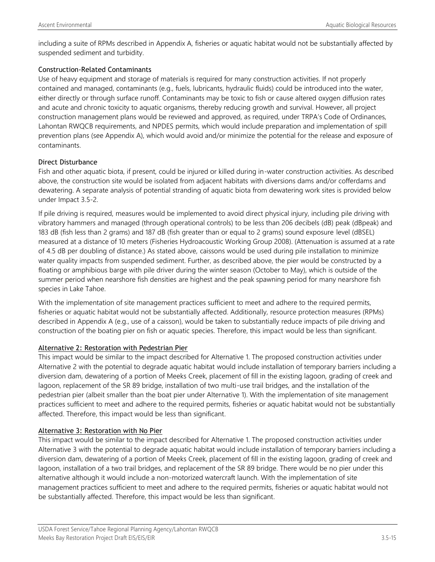including a suite of RPMs described in Appendix A, fisheries or aquatic habitat would not be substantially affected by suspended sediment and turbidity.

#### Construction-Related Contaminants

Use of heavy equipment and storage of materials is required for many construction activities. If not properly contained and managed, contaminants (e.g., fuels, lubricants, hydraulic fluids) could be introduced into the water, either directly or through surface runoff. Contaminants may be toxic to fish or cause altered oxygen diffusion rates and acute and chronic toxicity to aquatic organisms, thereby reducing growth and survival. However, all project construction management plans would be reviewed and approved, as required, under TRPA's Code of Ordinances, Lahontan RWQCB requirements, and NPDES permits, which would include preparation and implementation of spill prevention plans (see Appendix A), which would avoid and/or minimize the potential for the release and exposure of contaminants.

#### Direct Disturbance

Fish and other aquatic biota, if present, could be injured or killed during in-water construction activities. As described above, the construction site would be isolated from adjacent habitats with diversions dams and/or cofferdams and dewatering. A separate analysis of potential stranding of aquatic biota from dewatering work sites is provided below under Impact 3.5-2.

If pile driving is required, measures would be implemented to avoid direct physical injury, including pile driving with vibratory hammers and managed (through operational controls) to be less than 206 decibels (dB) peak (dBpeak) and 183 dB (fish less than 2 grams) and 187 dB (fish greater than or equal to 2 grams) sound exposure level (dBSEL) measured at a distance of 10 meters (Fisheries Hydroacoustic Working Group 2008). (Attenuation is assumed at a rate of 4.5 dB per doubling of distance.) As stated above, caissons would be used during pile installation to minimize water quality impacts from suspended sediment. Further, as described above, the pier would be constructed by a floating or amphibious barge with pile driver during the winter season (October to May), which is outside of the summer period when nearshore fish densities are highest and the peak spawning period for many nearshore fish species in Lake Tahoe.

With the implementation of site management practices sufficient to meet and adhere to the required permits, fisheries or aquatic habitat would not be substantially affected. Additionally, resource protection measures (RPMs) described in Appendix A (e.g., use of a caisson), would be taken to substantially reduce impacts of pile driving and construction of the boating pier on fish or aquatic species. Therefore, this impact would be less than significant.

#### Alternative 2: Restoration with Pedestrian Pier

This impact would be similar to the impact described for Alternative 1. The proposed construction activities under Alternative 2 with the potential to degrade aquatic habitat would include installation of temporary barriers including a diversion dam, dewatering of a portion of Meeks Creek, placement of fill in the existing lagoon, grading of creek and lagoon, replacement of the SR 89 bridge, installation of two multi-use trail bridges, and the installation of the pedestrian pier (albeit smaller than the boat pier under Alternative 1). With the implementation of site management practices sufficient to meet and adhere to the required permits, fisheries or aquatic habitat would not be substantially affected. Therefore, this impact would be less than significant.

#### Alternative 3: Restoration with No Pier

This impact would be similar to the impact described for Alternative 1. The proposed construction activities under Alternative 3 with the potential to degrade aquatic habitat would include installation of temporary barriers including a diversion dam, dewatering of a portion of Meeks Creek, placement of fill in the existing lagoon, grading of creek and lagoon, installation of a two trail bridges, and replacement of the SR 89 bridge. There would be no pier under this alternative although it would include a non-motorized watercraft launch. With the implementation of site management practices sufficient to meet and adhere to the required permits, fisheries or aquatic habitat would not be substantially affected. Therefore, this impact would be less than significant.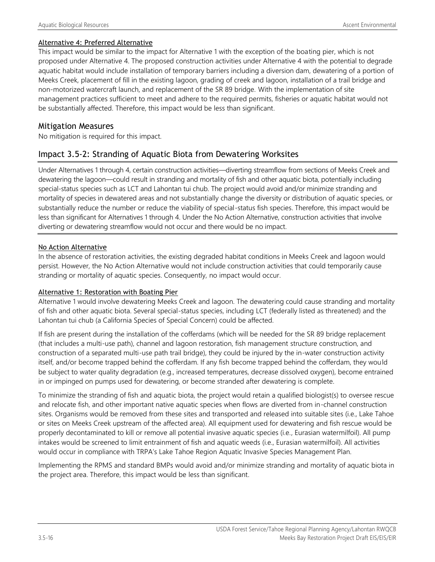#### Alternative 4: Preferred Alternative

This impact would be similar to the impact for Alternative 1 with the exception of the boating pier, which is not proposed under Alternative 4. The proposed construction activities under Alternative 4 with the potential to degrade aquatic habitat would include installation of temporary barriers including a diversion dam, dewatering of a portion of Meeks Creek, placement of fill in the existing lagoon, grading of creek and lagoon, installation of a trail bridge and non-motorized watercraft launch, and replacement of the SR 89 bridge. With the implementation of site management practices sufficient to meet and adhere to the required permits, fisheries or aquatic habitat would not be substantially affected. Therefore, this impact would be less than significant.

#### Mitigation Measures

No mitigation is required for this impact.

### Impact 3.5-2: Stranding of Aquatic Biota from Dewatering Worksites

Under Alternatives 1 through 4, certain construction activities—diverting streamflow from sections of Meeks Creek and dewatering the lagoon—could result in stranding and mortality of fish and other aquatic biota, potentially including special-status species such as LCT and Lahontan tui chub. The project would avoid and/or minimize stranding and mortality of species in dewatered areas and not substantially change the diversity or distribution of aquatic species, or substantially reduce the number or reduce the viability of special-status fish species. Therefore, this impact would be less than significant for Alternatives 1 through 4. Under the No Action Alternative, construction activities that involve diverting or dewatering streamflow would not occur and there would be no impact.

#### No Action Alternative

In the absence of restoration activities, the existing degraded habitat conditions in Meeks Creek and lagoon would persist. However, the No Action Alternative would not include construction activities that could temporarily cause stranding or mortality of aquatic species. Consequently, no impact would occur.

#### Alternative 1: Restoration with Boating Pier

Alternative 1 would involve dewatering Meeks Creek and lagoon. The dewatering could cause stranding and mortality of fish and other aquatic biota. Several special-status species, including LCT (federally listed as threatened) and the Lahontan tui chub (a California Species of Special Concern) could be affected.

If fish are present during the installation of the cofferdams (which will be needed for the SR 89 bridge replacement (that includes a multi-use path), channel and lagoon restoration, fish management structure construction, and construction of a separated multi-use path trail bridge), they could be injured by the in-water construction activity itself, and/or become trapped behind the cofferdam. If any fish become trapped behind the cofferdam, they would be subject to water quality degradation (e.g., increased temperatures, decrease dissolved oxygen), become entrained in or impinged on pumps used for dewatering, or become stranded after dewatering is complete.

To minimize the stranding of fish and aquatic biota, the project would retain a qualified biologist(s) to oversee rescue and relocate fish, and other important native aquatic species when flows are diverted from in-channel construction sites. Organisms would be removed from these sites and transported and released into suitable sites (i.e., Lake Tahoe or sites on Meeks Creek upstream of the affected area). All equipment used for dewatering and fish rescue would be properly decontaminated to kill or remove all potential invasive aquatic species (i.e., Eurasian watermilfoil). All pump intakes would be screened to limit entrainment of fish and aquatic weeds (i.e., Eurasian watermilfoil). All activities would occur in compliance with TRPA's Lake Tahoe Region Aquatic Invasive Species Management Plan.

Implementing the RPMS and standard BMPs would avoid and/or minimize stranding and mortality of aquatic biota in the project area. Therefore, this impact would be less than significant.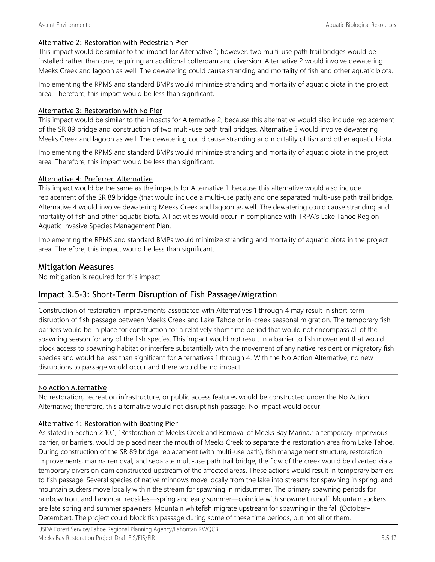#### Alternative 2: Restoration with Pedestrian Pier

This impact would be similar to the impact for Alternative 1; however, two multi-use path trail bridges would be installed rather than one, requiring an additional cofferdam and diversion. Alternative 2 would involve dewatering Meeks Creek and lagoon as well. The dewatering could cause stranding and mortality of fish and other aquatic biota.

Implementing the RPMS and standard BMPs would minimize stranding and mortality of aquatic biota in the project area. Therefore, this impact would be less than significant.

#### Alternative 3: Restoration with No Pier

This impact would be similar to the impacts for Alternative 2, because this alternative would also include replacement of the SR 89 bridge and construction of two multi-use path trail bridges. Alternative 3 would involve dewatering Meeks Creek and lagoon as well. The dewatering could cause stranding and mortality of fish and other aquatic biota.

Implementing the RPMS and standard BMPs would minimize stranding and mortality of aquatic biota in the project area. Therefore, this impact would be less than significant.

#### Alternative 4: Preferred Alternative

This impact would be the same as the impacts for Alternative 1, because this alternative would also include replacement of the SR 89 bridge (that would include a multi-use path) and one separated multi-use path trail bridge. Alternative 4 would involve dewatering Meeks Creek and lagoon as well. The dewatering could cause stranding and mortality of fish and other aquatic biota. All activities would occur in compliance with TRPA's Lake Tahoe Region Aquatic Invasive Species Management Plan.

Implementing the RPMS and standard BMPs would minimize stranding and mortality of aquatic biota in the project area. Therefore, this impact would be less than significant.

#### Mitigation Measures

No mitigation is required for this impact.

### Impact 3.5-3: Short-Term Disruption of Fish Passage/Migration

Construction of restoration improvements associated with Alternatives 1 through 4 may result in short-term disruption of fish passage between Meeks Creek and Lake Tahoe or in-creek seasonal migration. The temporary fish barriers would be in place for construction for a relatively short time period that would not encompass all of the spawning season for any of the fish species. This impact would not result in a barrier to fish movement that would block access to spawning habitat or interfere substantially with the movement of any native resident or migratory fish species and would be less than significant for Alternatives 1 through 4. With the No Action Alternative, no new disruptions to passage would occur and there would be no impact.

#### No Action Alternative

No restoration, recreation infrastructure, or public access features would be constructed under the No Action Alternative; therefore, this alternative would not disrupt fish passage. No impact would occur.

#### Alternative 1: Restoration with Boating Pier

As stated in Section 2.10.1, "Restoration of Meeks Creek and Removal of Meeks Bay Marina," a temporary impervious barrier, or barriers, would be placed near the mouth of Meeks Creek to separate the restoration area from Lake Tahoe. During construction of the SR 89 bridge replacement (with multi-use path), fish management structure, restoration improvements, marina removal, and separate multi-use path trail bridge, the flow of the creek would be diverted via a temporary diversion dam constructed upstream of the affected areas. These actions would result in temporary barriers to fish passage. Several species of native minnows move locally from the lake into streams for spawning in spring, and mountain suckers move locally within the stream for spawning in midsummer. The primary spawning periods for rainbow trout and Lahontan redsides—spring and early summer—coincide with snowmelt runoff. Mountain suckers are late spring and summer spawners. Mountain whitefish migrate upstream for spawning in the fall (October– December). The project could block fish passage during some of these time periods, but not all of them.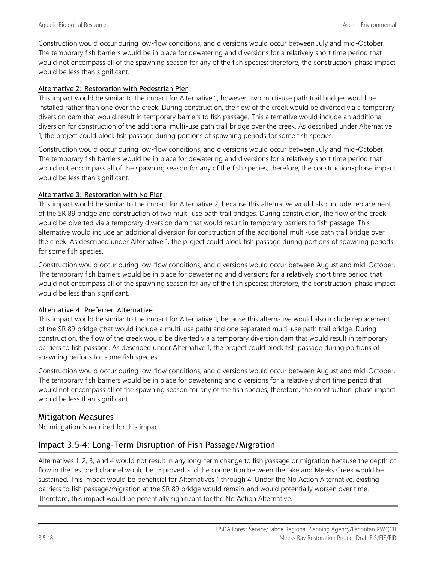Construction would occur during low-flow conditions, and diversions would occur between July and mid-October. The temporary fish barriers would be in place for dewatering and diversions for a relatively short time period that would not encompass all of the spawning season for any of the fish species; therefore, the construction-phase impact would be less than significant.

#### Alternative 2: Restoration with Pedestrian Pier

This impact would be similar to the impact for Alternative 1; however, two multi-use path trail bridges would be installed rather than one over the creek. During construction, the flow of the creek would be diverted via a temporary diversion dam that would result in temporary barriers to fish passage. This alternative would include an additional diversion for construction of the additional multi-use path trail bridge over the creek. As described under Alternative 1, the project could block fish passage during portions of spawning periods for some fish species.

Construction would occur during low-flow conditions, and diversions would occur between July and mid-October. The temporary fish barriers would be in place for dewatering and diversions for a relatively short time period that would not encompass all of the spawning season for any of the fish species; therefore, the construction-phase impact would be less than significant.

#### Alternative 3: Restoration with No Pier

This impact would be similar to the impact for Alternative 2, because this alternative would also include replacement of the SR 89 bridge and construction of two multi-use path trail bridges. During construction, the flow of the creek would be diverted via a temporary diversion dam that would result in temporary barriers to fish passage. This alternative would include an additional diversion for construction of the additional multi-use path trail bridge over the creek. As described under Alternative 1, the project could block fish passage during portions of spawning periods for some fish species.

Construction would occur during low-flow conditions, and diversions would occur between August and mid-October. The temporary fish barriers would be in place for dewatering and diversions for a relatively short time period that would not encompass all of the spawning season for any of the fish species; therefore, the construction-phase impact would be less than significant.

#### Alternative 4: Preferred Alternative

This impact would be similar to the impact for Alternative 1, because this alternative would also include replacement of the SR 89 bridge (that would include a multi-use path) and one separated multi-use path trail bridge. During construction, the flow of the creek would be diverted via a temporary diversion dam that would result in temporary barriers to fish passage. As described under Alternative 1, the project could block fish passage during portions of spawning periods for some fish species.

Construction would occur during low-flow conditions, and diversions would occur between August and mid-October. The temporary fish barriers would be in place for dewatering and diversions for a relatively short time period that would not encompass all of the spawning season for any of the fish species; therefore, the construction-phase impact would be less than significant.

### Mitigation Measures

No mitigation is required for this impact.

## Impact 3.5-4: Long-Term Disruption of Fish Passage/Migration

Alternatives 1, 2, 3, and 4 would not result in any long-term change to fish passage or migration because the depth of flow in the restored channel would be improved and the connection between the lake and Meeks Creek would be sustained. This impact would be beneficial for Alternatives 1 through 4. Under the No Action Alternative, existing barriers to fish passage/migration at the SR 89 bridge would remain and would potentially worsen over time. Therefore, this impact would be potentially significant for the No Action Alternative.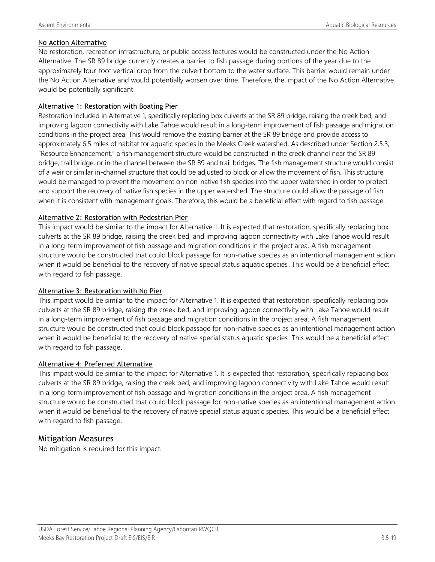#### No Action Alternative

No restoration, recreation infrastructure, or public access features would be constructed under the No Action Alternative. The SR 89 bridge currently creates a barrier to fish passage during portions of the year due to the approximately four-foot vertical drop from the culvert bottom to the water surface. This barrier would remain under the No Action Alternative and would potentially worsen over time. Therefore, the impact of the No Action Alternative would be potentially significant.

#### Alternative 1: Restoration with Boating Pier

Restoration included in Alternative 1, specifically replacing box culverts at the SR 89 bridge, raising the creek bed, and improving lagoon connectivity with Lake Tahoe would result in a long-term improvement of fish passage and migration conditions in the project area. This would remove the existing barrier at the SR 89 bridge and provide access to approximately 6.5 miles of habitat for aquatic species in the Meeks Creek watershed. As described under Section 2.5.3, "Resource Enhancement," a fish management structure would be constructed in the creek channel near the SR 89 bridge, trail bridge, or in the channel between the SR 89 and trail bridges. The fish management structure would consist of a weir or similar in-channel structure that could be adjusted to block or allow the movement of fish. This structure would be managed to prevent the movement on non-native fish species into the upper watershed in order to protect and support the recovery of native fish species in the upper watershed. The structure could allow the passage of fish when it is consistent with management goals. Therefore, this would be a beneficial effect with regard to fish passage.

#### Alternative 2: Restoration with Pedestrian Pier

This impact would be similar to the impact for Alternative 1. It is expected that restoration, specifically replacing box culverts at the SR 89 bridge, raising the creek bed, and improving lagoon connectivity with Lake Tahoe would result in a long-term improvement of fish passage and migration conditions in the project area. A fish management structure would be constructed that could block passage for non-native species as an intentional management action when it would be beneficial to the recovery of native special status aquatic species. This would be a beneficial effect with regard to fish passage.

#### Alternative 3: Restoration with No Pier

This impact would be similar to the impact for Alternative 1. It is expected that restoration, specifically replacing box culverts at the SR 89 bridge, raising the creek bed, and improving lagoon connectivity with Lake Tahoe would result in a long-term improvement of fish passage and migration conditions in the project area. A fish management structure would be constructed that could block passage for non-native species as an intentional management action when it would be beneficial to the recovery of native special status aquatic species. This would be a beneficial effect with regard to fish passage.

#### Alternative 4: Preferred Alternative

This impact would be similar to the impact for Alternative 1. It is expected that restoration, specifically replacing box culverts at the SR 89 bridge, raising the creek bed, and improving lagoon connectivity with Lake Tahoe would result in a long-term improvement of fish passage and migration conditions in the project area. A fish management structure would be constructed that could block passage for non-native species as an intentional management action when it would be beneficial to the recovery of native special status aquatic species. This would be a beneficial effect with regard to fish passage.

#### Mitigation Measures

No mitigation is required for this impact.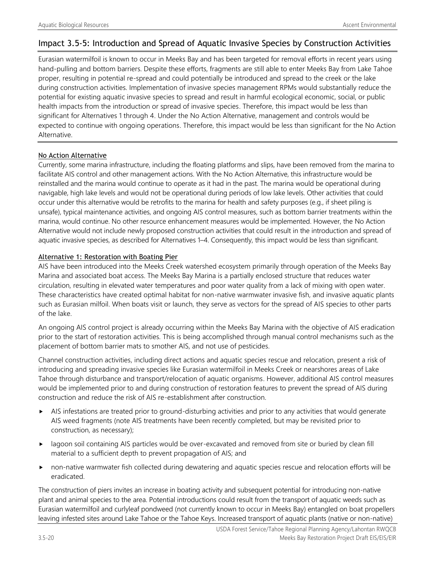### Impact 3.5-5: Introduction and Spread of Aquatic Invasive Species by Construction Activities

Eurasian watermilfoil is known to occur in Meeks Bay and has been targeted for removal efforts in recent years using hand-pulling and bottom barriers. Despite these efforts, fragments are still able to enter Meeks Bay from Lake Tahoe proper, resulting in potential re-spread and could potentially be introduced and spread to the creek or the lake during construction activities. Implementation of invasive species management RPMs would substantially reduce the potential for existing aquatic invasive species to spread and result in harmful ecological economic, social, or public health impacts from the introduction or spread of invasive species. Therefore, this impact would be less than significant for Alternatives 1 through 4. Under the No Action Alternative, management and controls would be expected to continue with ongoing operations. Therefore, this impact would be less than significant for the No Action Alternative.

#### No Action Alternative

Currently, some marina infrastructure, including the floating platforms and slips, have been removed from the marina to facilitate AIS control and other management actions. With the No Action Alternative, this infrastructure would be reinstalled and the marina would continue to operate as it had in the past. The marina would be operational during navigable, high lake levels and would not be operational during periods of low lake levels. Other activities that could occur under this alternative would be retrofits to the marina for health and safety purposes (e.g., if sheet piling is unsafe), typical maintenance activities, and ongoing AIS control measures, such as bottom barrier treatments within the marina, would continue. No other resource enhancement measures would be implemented. However, the No Action Alternative would not include newly proposed construction activities that could result in the introduction and spread of aquatic invasive species, as described for Alternatives 1–4. Consequently, this impact would be less than significant.

#### Alternative 1: Restoration with Boating Pier

AIS have been introduced into the Meeks Creek watershed ecosystem primarily through operation of the Meeks Bay Marina and associated boat access. The Meeks Bay Marina is a partially enclosed structure that reduces water circulation, resulting in elevated water temperatures and poor water quality from a lack of mixing with open water. These characteristics have created optimal habitat for non-native warmwater invasive fish, and invasive aquatic plants such as Eurasian milfoil. When boats visit or launch, they serve as vectors for the spread of AIS species to other parts of the lake.

An ongoing AIS control project is already occurring within the Meeks Bay Marina with the objective of AIS eradication prior to the start of restoration activities. This is being accomplished through manual control mechanisms such as the placement of bottom barrier mats to smother AIS, and not use of pesticides.

Channel construction activities, including direct actions and aquatic species rescue and relocation, present a risk of introducing and spreading invasive species like Eurasian watermilfoil in Meeks Creek or nearshores areas of Lake Tahoe through disturbance and transport/relocation of aquatic organisms. However, additional AIS control measures would be implemented prior to and during construction of restoration features to prevent the spread of AIS during construction and reduce the risk of AIS re-establishment after construction.

- AIS infestations are treated prior to ground-disturbing activities and prior to any activities that would generate AIS weed fragments (note AIS treatments have been recently completed, but may be revisited prior to construction, as necessary);
- lagoon soil containing AIS particles would be over-excavated and removed from site or buried by clean fill material to a sufficient depth to prevent propagation of AIS; and
- non-native warmwater fish collected during dewatering and aquatic species rescue and relocation efforts will be eradicated.

The construction of piers invites an increase in boating activity and subsequent potential for introducing non-native plant and animal species to the area. Potential introductions could result from the transport of aquatic weeds such as Eurasian watermilfoil and curlyleaf pondweed (not currently known to occur in Meeks Bay) entangled on boat propellers leaving infested sites around Lake Tahoe or the Tahoe Keys. Increased transport of aquatic plants (native or non-native)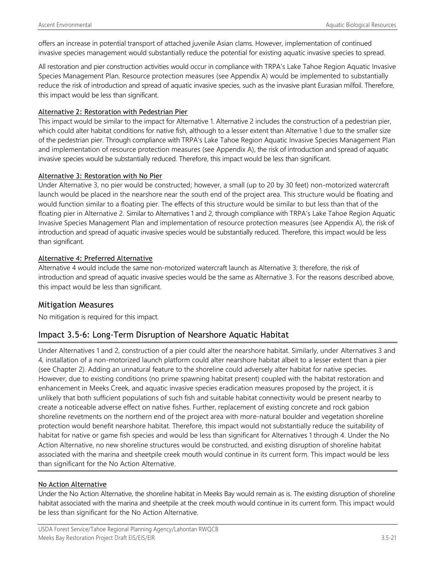offers an increase in potential transport of attached juvenile Asian clams. However, implementation of continued invasive species management would substantially reduce the potential for existing aquatic invasive species to spread.

All restoration and pier construction activities would occur in compliance with TRPA's Lake Tahoe Region Aquatic Invasive Species Management Plan. Resource protection measures (see Appendix A) would be implemented to substantially reduce the risk of introduction and spread of aquatic invasive species, such as the invasive plant Eurasian milfoil. Therefore, this impact would be less than significant.

#### Alternative 2: Restoration with Pedestrian Pier

This impact would be similar to the impact for Alternative 1. Alternative 2 includes the construction of a pedestrian pier, which could alter habitat conditions for native fish, although to a lesser extent than Alternative 1 due to the smaller size of the pedestrian pier. Through compliance with TRPA's Lake Tahoe Region Aquatic Invasive Species Management Plan and implementation of resource protection measures (see Appendix A), the risk of introduction and spread of aquatic invasive species would be substantially reduced. Therefore, this impact would be less than significant.

#### Alternative 3: Restoration with No Pier

Under Alternative 3, no pier would be constructed; however, a small (up to 20 by 30 feet) non-motorized watercraft launch would be placed in the nearshore near the south end of the project area. This structure would be floating and would function similar to a floating pier. The effects of this structure would be similar to but less than that of the floating pier in Alternative 2. Similar to Alternatives 1 and 2, through compliance with TRPA's Lake Tahoe Region Aquatic Invasive Species Management Plan and implementation of resource protection measures (see Appendix A), the risk of introduction and spread of aquatic invasive species would be substantially reduced. Therefore, this impact would be less than significant.

#### Alternative 4: Preferred Alternative

Alternative 4 would include the same non-motorized watercraft launch as Alternative 3; therefore, the risk of introduction and spread of aquatic invasive species would be the same as Alternative 3. For the reasons described above, this impact would be less than significant.

#### Mitigation Measures

No mitigation is required for this impact.

### Impact 3.5-6: Long-Term Disruption of Nearshore Aquatic Habitat

Under Alternatives 1 and 2, construction of a pier could alter the nearshore habitat. Similarly, under Alternatives 3 and 4, installation of a non-motorized launch platform could alter nearshore habitat albeit to a lesser extent than a pier (see Chapter 2). Adding an unnatural feature to the shoreline could adversely alter habitat for native species. However, due to existing conditions (no prime spawning habitat present) coupled with the habitat restoration and enhancement in Meeks Creek, and aquatic invasive species eradication measures proposed by the project, it is unlikely that both sufficient populations of such fish and suitable habitat connectivity would be present nearby to create a noticeable adverse effect on native fishes. Further, replacement of existing concrete and rock gabion shoreline revetments on the northern end of the project area with more-natural boulder and vegetation shoreline protection would benefit nearshore habitat. Therefore, this impact would not substantially reduce the suitability of habitat for native or game fish species and would be less than significant for Alternatives 1 through 4. Under the No Action Alternative, no new shoreline structures would be constructed, and existing disruption of shoreline habitat associated with the marina and sheetpile creek mouth would continue in its current form. This impact would be less than significant for the No Action Alternative.

#### No Action Alternative

Under the No Action Alternative, the shoreline habitat in Meeks Bay would remain as is. The existing disruption of shoreline habitat associated with the marina and sheetpile at the creek mouth would continue in its current form. This impact would be less than significant for the No Action Alternative.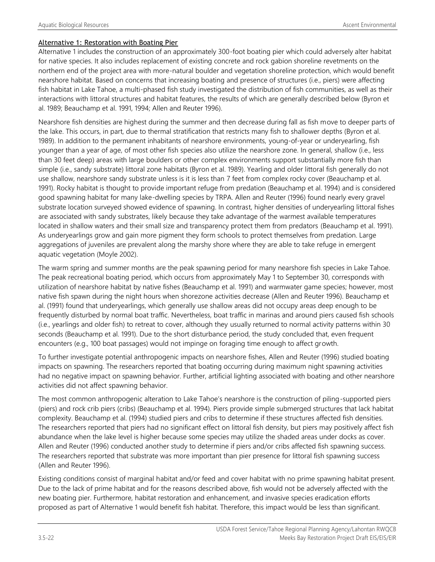#### Alternative 1: Restoration with Boating Pier

Alternative 1 includes the construction of an approximately 300-foot boating pier which could adversely alter habitat for native species. It also includes replacement of existing concrete and rock gabion shoreline revetments on the northern end of the project area with more-natural boulder and vegetation shoreline protection, which would benefit nearshore habitat. Based on concerns that increasing boating and presence of structures (i.e., piers) were affecting fish habitat in Lake Tahoe, a multi-phased fish study investigated the distribution of fish communities, as well as their interactions with littoral structures and habitat features, the results of which are generally described below (Byron et al. 1989; Beauchamp et al. 1991, 1994; Allen and Reuter 1996).

Nearshore fish densities are highest during the summer and then decrease during fall as fish move to deeper parts of the lake. This occurs, in part, due to thermal stratification that restricts many fish to shallower depths (Byron et al. 1989). In addition to the permanent inhabitants of nearshore environments, young-of-year or underyearling, fish younger than a year of age, of most other fish species also utilize the nearshore zone. In general, shallow (i.e., less than 30 feet deep) areas with large boulders or other complex environments support substantially more fish than simple (i.e., sandy substrate) littoral zone habitats (Byron et al. 1989). Yearling and older littoral fish generally do not use shallow, nearshore sandy substrate unless is it is less than 7 feet from complex rocky cover (Beauchamp et al. 1991). Rocky habitat is thought to provide important refuge from predation (Beauchamp et al. 1994) and is considered good spawning habitat for many lake-dwelling species by TRPA. Allen and Reuter (1996) found nearly every gravel substrate location surveyed showed evidence of spawning. In contrast, higher densities of underyearling littoral fishes are associated with sandy substrates, likely because they take advantage of the warmest available temperatures located in shallow waters and their small size and transparency protect them from predators (Beauchamp et al. 1991). As underyearlings grow and gain more pigment they form schools to protect themselves from predation. Large aggregations of juveniles are prevalent along the marshy shore where they are able to take refuge in emergent aquatic vegetation (Moyle 2002).

The warm spring and summer months are the peak spawning period for many nearshore fish species in Lake Tahoe. The peak recreational boating period, which occurs from approximately May 1 to September 30, corresponds with utilization of nearshore habitat by native fishes (Beauchamp et al. 1991) and warmwater game species; however, most native fish spawn during the night hours when shorezone activities decrease (Allen and Reuter 1996). Beauchamp et al. (1991) found that underyearlings, which generally use shallow areas did not occupy areas deep enough to be frequently disturbed by normal boat traffic. Nevertheless, boat traffic in marinas and around piers caused fish schools (i.e., yearlings and older fish) to retreat to cover, although they usually returned to normal activity patterns within 30 seconds (Beauchamp et al. 1991). Due to the short disturbance period, the study concluded that, even frequent encounters (e.g., 100 boat passages) would not impinge on foraging time enough to affect growth.

To further investigate potential anthropogenic impacts on nearshore fishes, Allen and Reuter (1996) studied boating impacts on spawning. The researchers reported that boating occurring during maximum night spawning activities had no negative impact on spawning behavior. Further, artificial lighting associated with boating and other nearshore activities did not affect spawning behavior.

The most common anthropogenic alteration to Lake Tahoe's nearshore is the construction of piling-supported piers (piers) and rock crib piers (cribs) (Beauchamp et al. 1994). Piers provide simple submerged structures that lack habitat complexity. Beauchamp et al. (1994) studied piers and cribs to determine if these structures affected fish densities. The researchers reported that piers had no significant effect on littoral fish density, but piers may positively affect fish abundance when the lake level is higher because some species may utilize the shaded areas under docks as cover. Allen and Reuter (1996) conducted another study to determine if piers and/or cribs affected fish spawning success. The researchers reported that substrate was more important than pier presence for littoral fish spawning success (Allen and Reuter 1996).

Existing conditions consist of marginal habitat and/or feed and cover habitat with no prime spawning habitat present. Due to the lack of prime habitat and for the reasons described above, fish would not be adversely affected with the new boating pier. Furthermore, habitat restoration and enhancement, and invasive species eradication efforts proposed as part of Alternative 1 would benefit fish habitat. Therefore, this impact would be less than significant.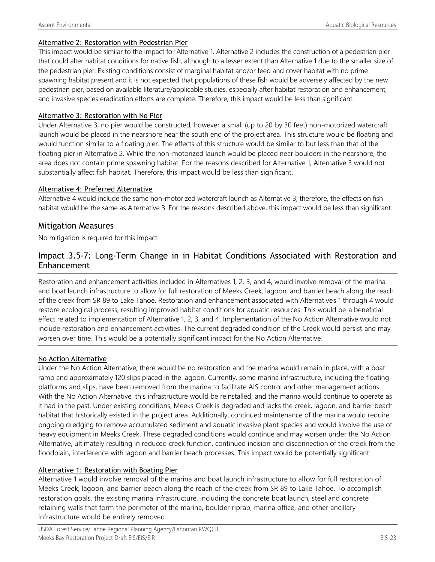#### Alternative 2: Restoration with Pedestrian Pier

This impact would be similar to the impact for Alternative 1. Alternative 2 includes the construction of a pedestrian pier that could alter habitat conditions for native fish, although to a lesser extent than Alternative 1 due to the smaller size of the pedestrian pier. Existing conditions consist of marginal habitat and/or feed and cover habitat with no prime spawning habitat present and it is not expected that populations of these fish would be adversely affected by the new pedestrian pier, based on available literature/applicable studies, especially after habitat restoration and enhancement, and invasive species eradication efforts are complete. Therefore, this impact would be less than significant.

#### Alternative 3: Restoration with No Pier

Under Alternative 3, no pier would be constructed, however a small (up to 20 by 30 feet) non-motorized watercraft launch would be placed in the nearshore near the south end of the project area. This structure would be floating and would function similar to a floating pier. The effects of this structure would be similar to but less than that of the floating pier in Alternative 2. While the non-motorized launch would be placed near boulders in the nearshore, the area does not contain prime spawning habitat. For the reasons described for Alternative 1, Alternative 3 would not substantially affect fish habitat. Therefore, this impact would be less than significant.

#### Alternative 4: Preferred Alternative

Alternative 4 would include the same non-motorized watercraft launch as Alternative 3; therefore, the effects on fish habitat would be the same as Alternative 3. For the reasons described above, this impact would be less than significant.

#### Mitigation Measures

No mitigation is required for this impact.

### Impact 3.5-7: Long-Term Change in in Habitat Conditions Associated with Restoration and Enhancement

Restoration and enhancement activities included in Alternatives 1, 2, 3, and 4, would involve removal of the marina and boat launch infrastructure to allow for full restoration of Meeks Creek, lagoon, and barrier beach along the reach of the creek from SR 89 to Lake Tahoe. Restoration and enhancement associated with Alternatives 1 through 4 would restore ecological process, resulting improved habitat conditions for aquatic resources. This would be a beneficial effect related to implementation of Alternative 1, 2, 3, and 4. Implementation of the No Action Alternative would not include restoration and enhancement activities. The current degraded condition of the Creek would persist and may worsen over time. This would be a potentially significant impact for the No Action Alternative.

#### No Action Alternative

Under the No Action Alternative, there would be no restoration and the marina would remain in place, with a boat ramp and approximately 120 slips placed in the lagoon. Currently, some marina infrastructure, including the floating platforms and slips, have been removed from the marina to facilitate AIS control and other management actions. With the No Action Alternative, this infrastructure would be reinstalled, and the marina would continue to operate as it had in the past. Under existing conditions, Meeks Creek is degraded and lacks the creek, lagoon, and barrier beach habitat that historically existed in the project area. Additionally, continued maintenance of the marina would require ongoing dredging to remove accumulated sediment and aquatic invasive plant species and would involve the use of heavy equipment in Meeks Creek. These degraded conditions would continue and may worsen under the No Action Alternative, ultimately resulting in reduced creek function, continued incision and disconnection of the creek from the floodplain, interference with lagoon and barrier beach processes. This impact would be potentially significant.

#### Alternative 1: Restoration with Boating Pier

Alternative 1 would involve removal of the marina and boat launch infrastructure to allow for full restoration of Meeks Creek, lagoon, and barrier beach along the reach of the creek from SR 89 to Lake Tahoe. To accomplish restoration goals, the existing marina infrastructure, including the concrete boat launch, steel and concrete retaining walls that form the perimeter of the marina, boulder riprap, marina office, and other ancillary infrastructure would be entirely removed.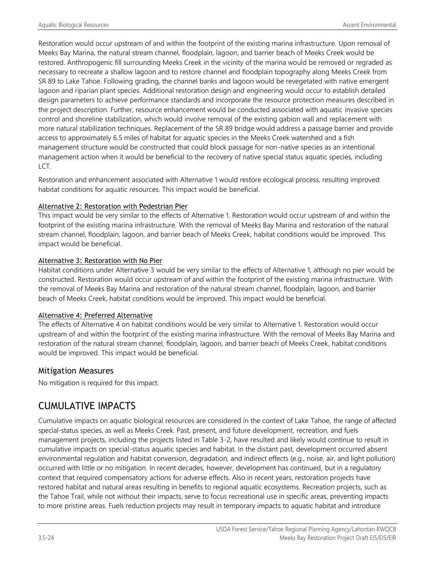Restoration would occur upstream of and within the footprint of the existing marina infrastructure. Upon removal of Meeks Bay Marina, the natural stream channel, floodplain, lagoon, and barrier beach of Meeks Creek would be restored. Anthropogenic fill surrounding Meeks Creek in the vicinity of the marina would be removed or regraded as necessary to recreate a shallow lagoon and to restore channel and floodplain topography along Meeks Creek from SR 89 to Lake Tahoe. Following grading, the channel banks and lagoon would be revegetated with native emergent lagoon and riparian plant species. Additional restoration design and engineering would occur to establish detailed design parameters to achieve performance standards and incorporate the resource protection measures described in the project description. Further, resource enhancement would be conducted associated with aquatic invasive species control and shoreline stabilization, which would involve removal of the existing gabion wall and replacement with more natural stabilization techniques. Replacement of the SR 89 bridge would address a passage barrier and provide access to approximately 6.5 miles of habitat for aquatic species in the Meeks Creek watershed and a fish management structure would be constructed that could block passage for non-native species as an intentional management action when it would be beneficial to the recovery of native special status aquatic species, including LCT.

Restoration and enhancement associated with Alternative 1 would restore ecological process, resulting improved habitat conditions for aquatic resources. This impact would be beneficial.

#### Alternative 2: Restoration with Pedestrian Pier

This impact would be very similar to the effects of Alternative 1. Restoration would occur upstream of and within the footprint of the existing marina infrastructure. With the removal of Meeks Bay Marina and restoration of the natural stream channel, floodplain, lagoon, and barrier beach of Meeks Creek, habitat conditions would be improved. This impact would be beneficial.

#### Alternative 3: Restoration with No Pier

Habitat conditions under Alternative 3 would be very similar to the effects of Alternative 1, although no pier would be constructed. Restoration would occur upstream of and within the footprint of the existing marina infrastructure. With the removal of Meeks Bay Marina and restoration of the natural stream channel, floodplain, lagoon, and barrier beach of Meeks Creek, habitat conditions would be improved. This impact would be beneficial.

#### Alternative 4: Preferred Alternative

The effects of Alternative 4 on habitat conditions would be very similar to Alternative 1. Restoration would occur upstream of and within the footprint of the existing marina infrastructure. With the removal of Meeks Bay Marina and restoration of the natural stream channel, floodplain, lagoon, and barrier beach of Meeks Creek, habitat conditions would be improved. This impact would be beneficial.

#### Mitigation Measures

No mitigation is required for this impact.

## CUMULATIVE IMPACTS

Cumulative impacts on aquatic biological resources are considered in the context of Lake Tahoe, the range of affected special-status species, as well as Meeks Creek. Past, present, and future development, recreation, and fuels management projects, including the projects listed in Table 3-2, have resulted and likely would continue to result in cumulative impacts on special-status aquatic species and habitat. In the distant past, development occurred absent environmental regulation and habitat conversion, degradation, and indirect effects (e.g., noise, air, and light pollution) occurred with little or no mitigation. In recent decades, however, development has continued, but in a regulatory context that required compensatory actions for adverse effects. Also in recent years, restoration projects have restored habitat and natural areas resulting in benefits to regional aquatic ecosystems. Recreation projects, such as the Tahoe Trail, while not without their impacts, serve to focus recreational use in specific areas, preventing impacts to more pristine areas. Fuels reduction projects may result in temporary impacts to aquatic habitat and introduce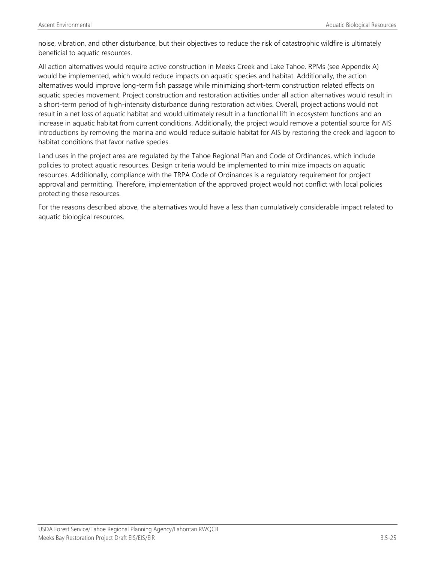noise, vibration, and other disturbance, but their objectives to reduce the risk of catastrophic wildfire is ultimately beneficial to aquatic resources.

All action alternatives would require active construction in Meeks Creek and Lake Tahoe. RPMs (see Appendix A) would be implemented, which would reduce impacts on aquatic species and habitat. Additionally, the action alternatives would improve long-term fish passage while minimizing short-term construction related effects on aquatic species movement. Project construction and restoration activities under all action alternatives would result in a short-term period of high-intensity disturbance during restoration activities. Overall, project actions would not result in a net loss of aquatic habitat and would ultimately result in a functional lift in ecosystem functions and an increase in aquatic habitat from current conditions. Additionally, the project would remove a potential source for AIS introductions by removing the marina and would reduce suitable habitat for AIS by restoring the creek and lagoon to habitat conditions that favor native species.

Land uses in the project area are regulated by the Tahoe Regional Plan and Code of Ordinances, which include policies to protect aquatic resources. Design criteria would be implemented to minimize impacts on aquatic resources. Additionally, compliance with the TRPA Code of Ordinances is a regulatory requirement for project approval and permitting. Therefore, implementation of the approved project would not conflict with local policies protecting these resources.

For the reasons described above, the alternatives would have a less than cumulatively considerable impact related to aquatic biological resources.